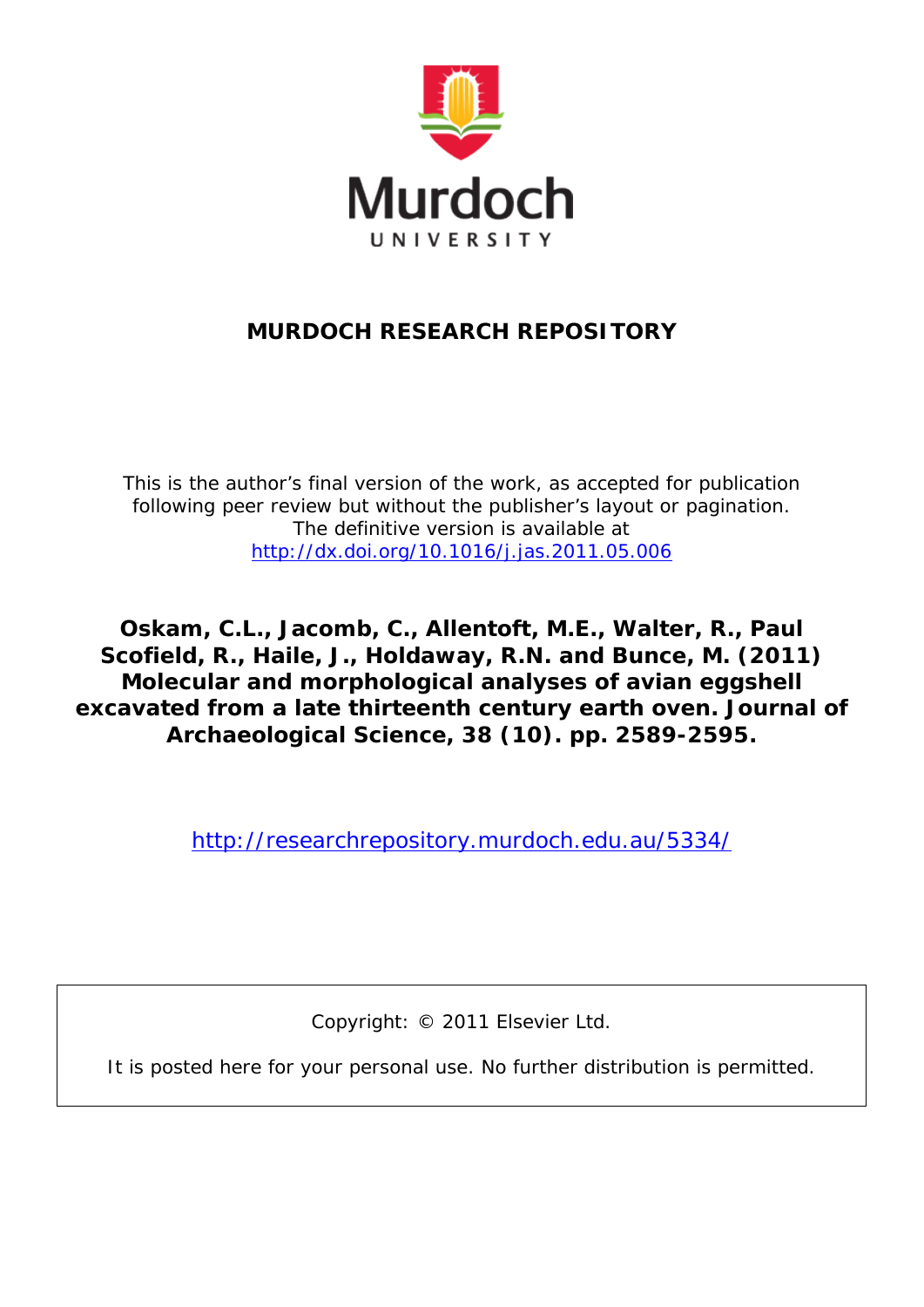

# **MURDOCH RESEARCH REPOSITORY**

*This is the author's final version of the work, as accepted for publication following peer review but without the publisher's layout or pagination. The definitive version is available at <http://dx.doi.org/10.1016/j.jas.2011.05.006>*

**Oskam, C.L., Jacomb, C., Allentoft, M.E., Walter, R., Paul Scofield, R., Haile, J., Holdaway, R.N. and Bunce, M. (2011)**  *Molecular and morphological analyses of avian eggshell excavated from a late thirteenth century earth oven.* **Journal of Archaeological Science, 38 (10). pp. 2589-2595.**

<http://researchrepository.murdoch.edu.au/5334/>

Copyright: © 2011 Elsevier Ltd.

It is posted here for your personal use. No further distribution is permitted.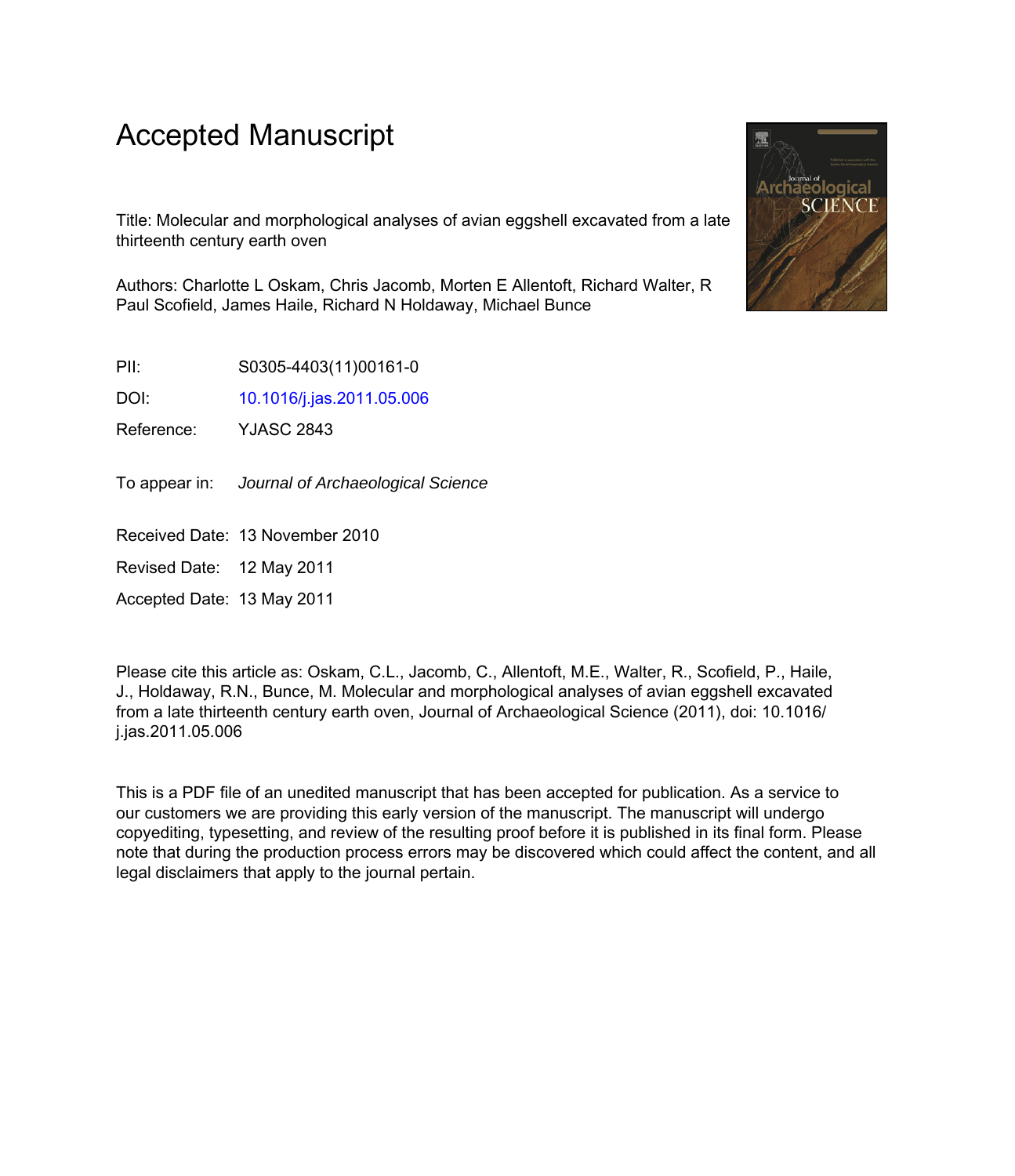# Accepted Manuscript

Title: Molecular and morphological analyses of avian eggshell excavated from a late thirteenth century earth oven

Authors: Charlotte L Oskam, Chris Jacomb, Morten E Allentoft, Richard Walter, R Paul Scofield, James Haile, Richard N Holdaway, Michael Bunce

PII: S0305-4403(11)00161-0

DOI: [10.1016/j.jas.2011.05.006](http://dx.doi.org/10.1016/j.jas.2011.05.006)

Reference: YJASC 2843

To appear in: Journal of Archaeological Science

Received Date: 13 November 2010

Revised Date: 12 May 2011

Accepted Date: 13 May 2011

Please cite this article as: Oskam, C.L., Jacomb, C., Allentoft, M.E., Walter, R., Scofield, P., Haile, J., Holdaway, R.N., Bunce, M. Molecular and morphological analyses of avian eggshell excavated from a late thirteenth century earth oven, Journal of Archaeological Science (2011), doi: 10.1016/ j.jas.2011.05.006

This is a PDF file of an unedited manuscript that has been accepted for publication. As a service to our customers we are providing this early version of the manuscript. The manuscript will undergo copyediting, typesetting, and review of the resulting proof before it is published in its final form. Please note that during the production process errors may be discovered which could affect the content, and all legal disclaimers that apply to the journal pertain.

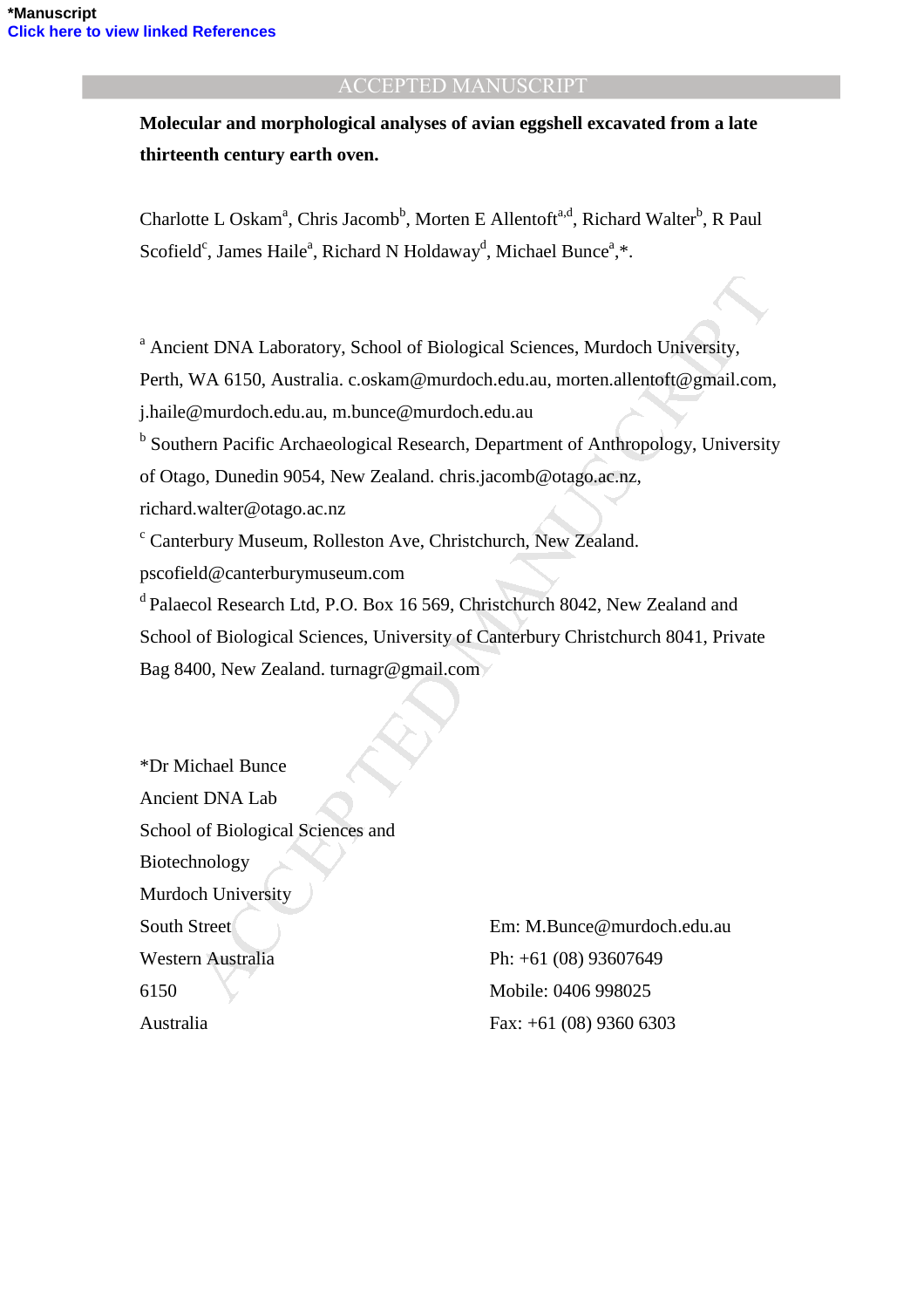**Molecular and morphological analyses of avian eggshell excavated from a late thirteenth century earth oven.** 

Charlotte L Oskam<sup>a</sup>, Chris Jacomb<sup>b</sup>, Morten E Allentoft<sup>a,d</sup>, Richard Walter<sup>b</sup>, R Paul Scofield<sup>c</sup>, James Haile<sup>a</sup>, Richard N Holdaway<sup>d</sup>, Michael Bunce<sup>a</sup>,\*.

<sup>a</sup> Ancient DNA Laboratory, School of Biological Sciences, Murdoch University,

Perth, WA 6150, Australia. c.oskam@murdoch.edu.au, morten.allentoft@gmail.com,

j.haile@murdoch.edu.au, m.bunce@murdoch.edu.au

<sup>b</sup> Southern Pacific Archaeological Research, Department of Anthropology, University of Otago, Dunedin 9054, New Zealand. chris.jacomb@otago.ac.nz,

richard.walter@otago.ac.nz

c Canterbury Museum, Rolleston Ave, Christchurch, New Zealand.

pscofield@canterburymuseum.com

<sup>d</sup> Palaecol Research Ltd, P.O. Box 16 569, Christchurch 8042, New Zealand and School of Biological Sciences, University of Canterbury Christchurch 8041, Private Bag 8400, New Zealand. turnagr@gmail.com

19 MA Laboratory, School of Biological Sciences, Murdoch University,<br>
WA 6150, Australia.c.oskam@murdoch.edu.au, morten.allentoft@gmail.com,<br>
murdoch.edu.au, m.bunce@murdoch.edu.au, morten.allentoft@gmail.com,<br>
20 murdich \*Dr Michael Bunce Ancient DNA Lab School of Biological Sciences and Biotechnology Murdoch University South Street Western Australia 6150 Australia

Em: M.Bunce@murdoch.edu.au Ph: +61 (08) 93607649 Mobile: 0406 998025 Fax: +61 (08) 9360 6303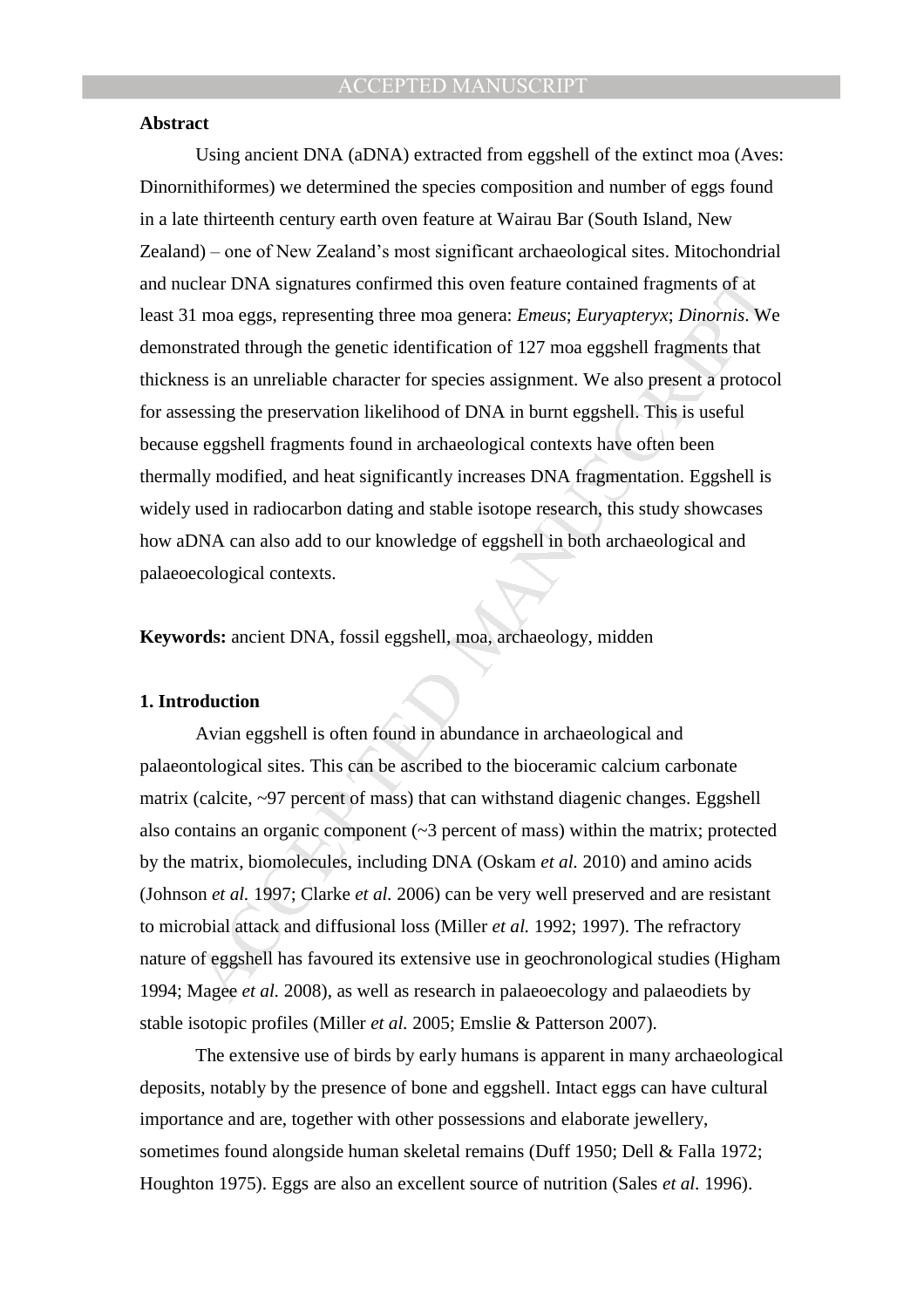#### **Abstract**

clear DNA signatures confirmed this oven feature contained fragments of at<br>
In moa eggs, representing three moa genera: *Eureus; Euryapteryx; Dinomis.* We<br>
strated through the genetic identification of 127 moa eggshell fr Using ancient DNA (aDNA) extracted from eggshell of the extinct moa (Aves: Dinornithiformes) we determined the species composition and number of eggs found in a late thirteenth century earth oven feature at Wairau Bar (South Island, New Zealand) – one of New Zealand's most significant archaeological sites. Mitochondrial and nuclear DNA signatures confirmed this oven feature contained fragments of at least 31 moa eggs, representing three moa genera: *Emeus*; *Euryapteryx*; *Dinornis*. We demonstrated through the genetic identification of 127 moa eggshell fragments that thickness is an unreliable character for species assignment. We also present a protocol for assessing the preservation likelihood of DNA in burnt eggshell. This is useful because eggshell fragments found in archaeological contexts have often been thermally modified, and heat significantly increases DNA fragmentation. Eggshell is widely used in radiocarbon dating and stable isotope research, this study showcases how aDNA can also add to our knowledge of eggshell in both archaeological and palaeoecological contexts.

**Keywords:** ancient DNA, fossil eggshell, moa, archaeology, midden

#### **1. Introduction**

Avian eggshell is often found in abundance in archaeological and palaeontological sites. This can be ascribed to the bioceramic calcium carbonate matrix (calcite, ~97 percent of mass) that can withstand diagenic changes. Eggshell also contains an organic component (~3 percent of mass) within the matrix; protected by the matrix, biomolecules, including DNA (Oskam *et al.* 2010) and amino acids (Johnson *et al.* 1997; Clarke *et al.* 2006) can be very well preserved and are resistant to microbial attack and diffusional loss (Miller *et al.* 1992; 1997). The refractory nature of eggshell has favoured its extensive use in geochronological studies (Higham 1994; Magee *et al.* 2008), as well as research in palaeoecology and palaeodiets by stable isotopic profiles (Miller *et al.* 2005; Emslie & Patterson 2007).

The extensive use of birds by early humans is apparent in many archaeological deposits, notably by the presence of bone and eggshell. Intact eggs can have cultural importance and are, together with other possessions and elaborate jewellery, sometimes found alongside human skeletal remains (Duff 1950; Dell & Falla 1972; Houghton 1975). Eggs are also an excellent source of nutrition (Sales *et al.* 1996).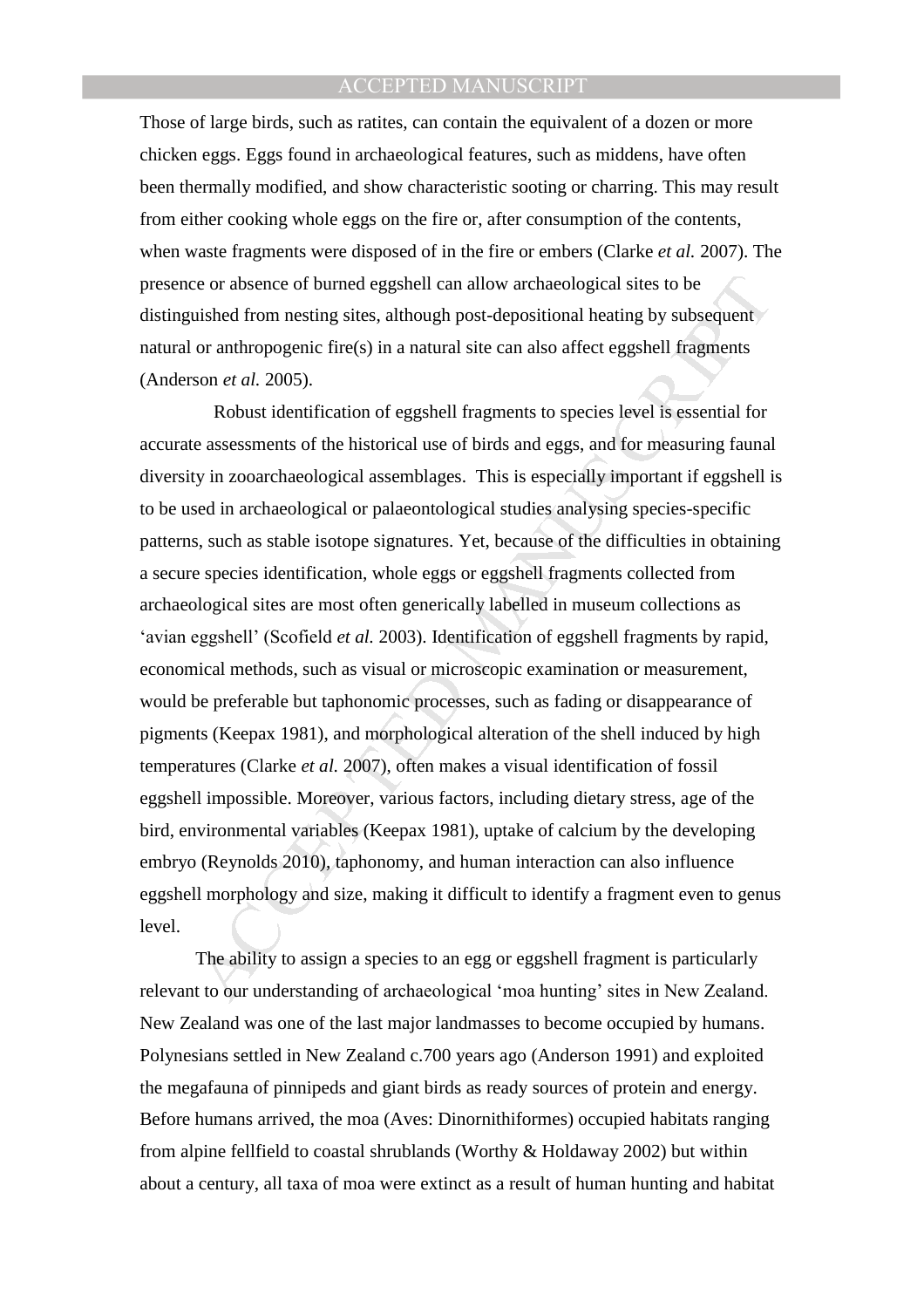Those of large birds, such as ratites, can contain the equivalent of a dozen or more chicken eggs. Eggs found in archaeological features, such as middens, have often been thermally modified, and show characteristic sooting or charring. This may result from either cooking whole eggs on the fire or, after consumption of the contents, when waste fragments were disposed of in the fire or embers (Clarke *et al.* 2007). The presence or absence of burned eggshell can allow archaeological sites to be distinguished from nesting sites, although post-depositional heating by subsequent natural or anthropogenic fire(s) in a natural site can also affect eggshell fragments (Anderson *et al.* 2005).

is even absence of burned eggshell can allow archaeological sites to be<br>
usished from nesting sites, although post-depositional heating by subsequent<br>
or anthropogenic fire(s) in a natural site can also affect eggshell fr Robust identification of eggshell fragments to species level is essential for accurate assessments of the historical use of birds and eggs, and for measuring faunal diversity in zooarchaeological assemblages. This is especially important if eggshell is to be used in archaeological or palaeontological studies analysing species-specific patterns, such as stable isotope signatures. Yet, because of the difficulties in obtaining a secure species identification, whole eggs or eggshell fragments collected from archaeological sites are most often generically labelled in museum collections as 'avian eggshell' (Scofield *et al.* 2003). Identification of eggshell fragments by rapid, economical methods, such as visual or microscopic examination or measurement, would be preferable but taphonomic processes, such as fading or disappearance of pigments (Keepax 1981), and morphological alteration of the shell induced by high temperatures (Clarke *et al.* 2007), often makes a visual identification of fossil eggshell impossible. Moreover, various factors, including dietary stress, age of the bird, environmental variables (Keepax 1981), uptake of calcium by the developing embryo (Reynolds 2010), taphonomy, and human interaction can also influence eggshell morphology and size, making it difficult to identify a fragment even to genus level.

The ability to assign a species to an egg or eggshell fragment is particularly relevant to our understanding of archaeological 'moa hunting' sites in New Zealand. New Zealand was one of the last major landmasses to become occupied by humans. Polynesians settled in New Zealand c.700 years ago (Anderson 1991) and exploited the megafauna of pinnipeds and giant birds as ready sources of protein and energy. Before humans arrived, the moa (Aves: Dinornithiformes) occupied habitats ranging from alpine fellfield to coastal shrublands (Worthy & Holdaway 2002) but within about a century, all taxa of moa were extinct as a result of human hunting and habitat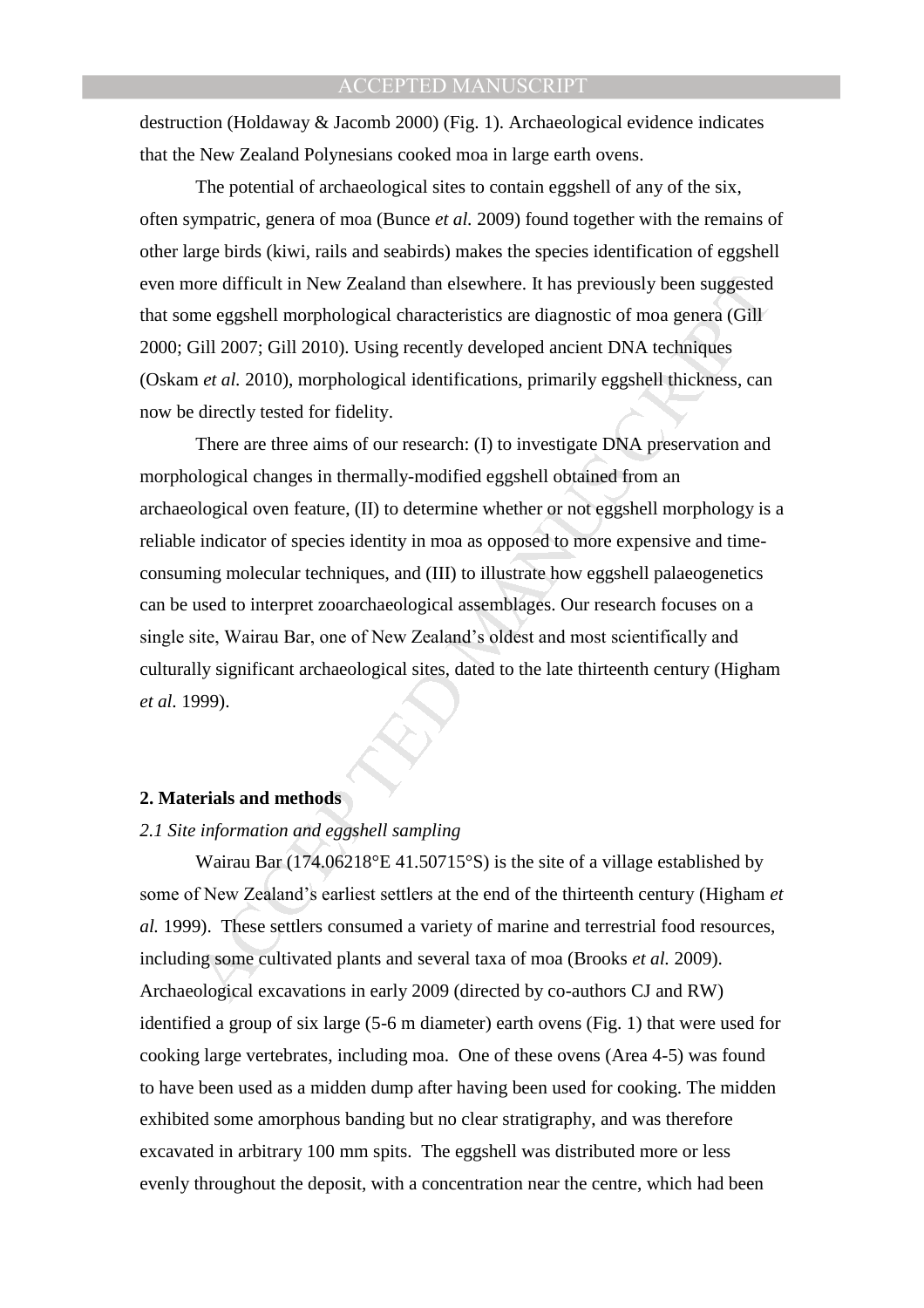destruction (Holdaway & Jacomb 2000) (Fig. 1). Archaeological evidence indicates that the New Zealand Polynesians cooked moa in large earth ovens.

 The potential of archaeological sites to contain eggshell of any of the six, often sympatric, genera of moa (Bunce *et al.* 2009) found together with the remains of other large birds (kiwi, rails and seabirds) makes the species identification of eggshell even more difficult in New Zealand than elsewhere. It has previously been suggested that some eggshell morphological characteristics are diagnostic of moa genera (Gill 2000; Gill 2007; Gill 2010). Using recently developed ancient DNA techniques (Oskam *et al.* 2010), morphological identifications, primarily eggshell thickness, can now be directly tested for fidelity.

ion difficult in New Zealand than elsewhere. It has previously been suggested<br>me eggshell morphological characteristics are diagnostic of moa genera (Gill<br>7iil 2007; Gill 2010). Using recently developed ancient DNA techniq There are three aims of our research: (I) to investigate DNA preservation and morphological changes in thermally-modified eggshell obtained from an archaeological oven feature, (II) to determine whether or not eggshell morphology is a reliable indicator of species identity in moa as opposed to more expensive and timeconsuming molecular techniques, and (III) to illustrate how eggshell palaeogenetics can be used to interpret zooarchaeological assemblages. Our research focuses on a single site, Wairau Bar, one of New Zealand's oldest and most scientifically and culturally significant archaeological sites, dated to the late thirteenth century (Higham *et al.* 1999).

#### **2. Materials and methods**

#### *2.1 Site information and eggshell sampling*

Wairau Bar (174.06218°E 41.50715°S) is the site of a village established by some of New Zealand's earliest settlers at the end of the thirteenth century (Higham *et al.* 1999). These settlers consumed a variety of marine and terrestrial food resources, including some cultivated plants and several taxa of moa (Brooks *et al.* 2009). Archaeological excavations in early 2009 (directed by co-authors CJ and RW) identified a group of six large (5-6 m diameter) earth ovens (Fig. 1) that were used for cooking large vertebrates, including moa. One of these ovens (Area 4-5) was found to have been used as a midden dump after having been used for cooking. The midden exhibited some amorphous banding but no clear stratigraphy, and was therefore excavated in arbitrary 100 mm spits. The eggshell was distributed more or less evenly throughout the deposit, with a concentration near the centre, which had been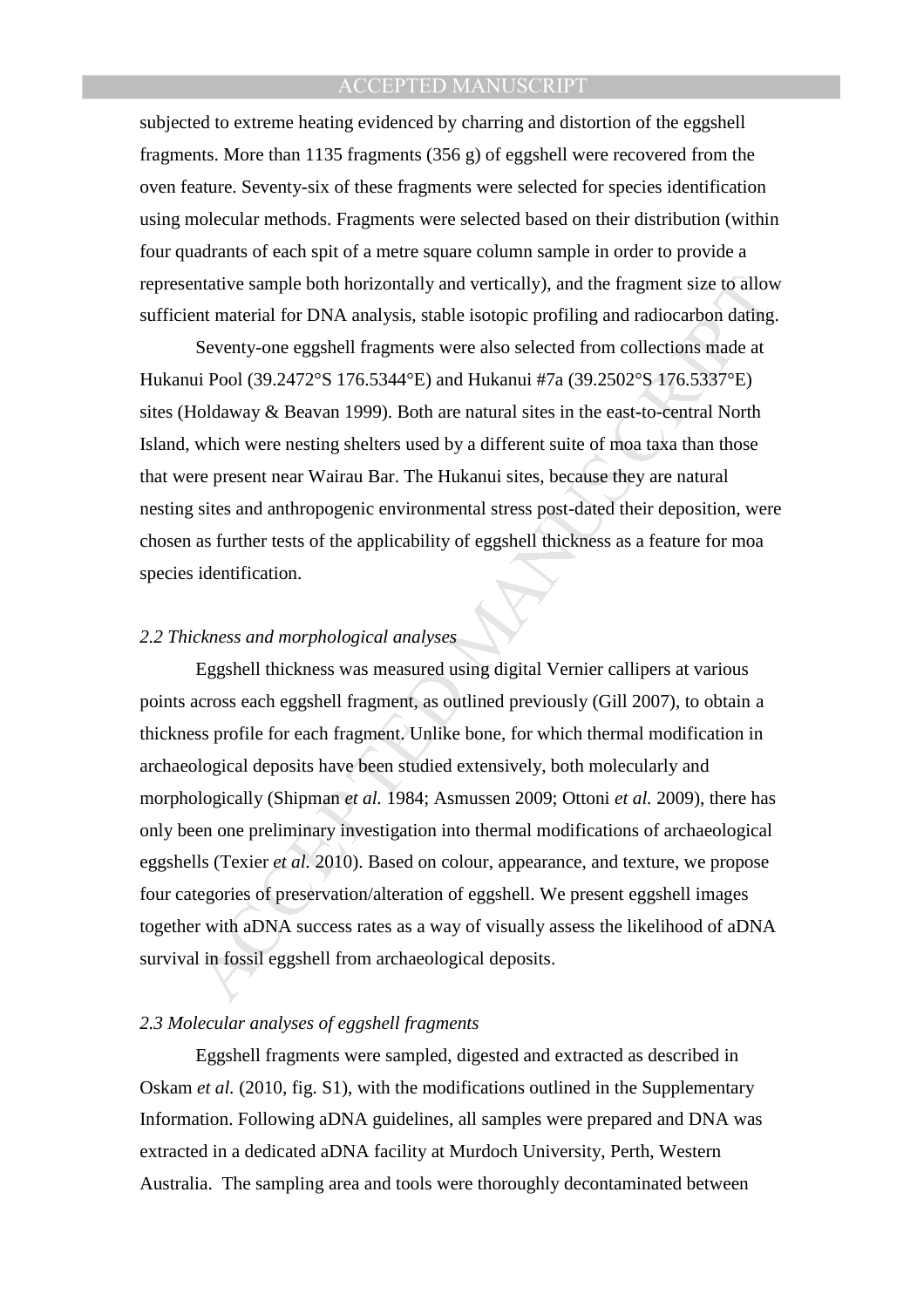subjected to extreme heating evidenced by charring and distortion of the eggshell fragments. More than 1135 fragments (356 g) of eggshell were recovered from the oven feature. Seventy-six of these fragments were selected for species identification using molecular methods. Fragments were selected based on their distribution (within four quadrants of each spit of a metre square column sample in order to provide a representative sample both horizontally and vertically), and the fragment size to allow sufficient material for DNA analysis, stable isotopic profiling and radiocarbon dating.

Seventy-one eggshell fragments were also selected from collections made at Hukanui Pool (39.2472°S 176.5344°E) and Hukanui #7a (39.2502°S 176.5337°E) sites (Holdaway & Beavan 1999). Both are natural sites in the east-to-central North Island, which were nesting shelters used by a different suite of moa taxa than those that were present near Wairau Bar. The Hukanui sites, because they are natural nesting sites and anthropogenic environmental stress post-dated their deposition, were chosen as further tests of the applicability of eggshell thickness as a feature for moa species identification.

## *2.2 Thickness and morphological analyses*

ntative sample both horizontally and vertically), and the fragment size to allow<br>ent material for DNA analysis, stable isotopic profiling and radiocarbon dating<br>Seventy-one eggshell fragments were also selected from collec Eggshell thickness was measured using digital Vernier callipers at various points across each eggshell fragment, as outlined previously (Gill 2007), to obtain a thickness profile for each fragment. Unlike bone, for which thermal modification in archaeological deposits have been studied extensively, both molecularly and morphologically (Shipman *et al.* 1984; Asmussen 2009; Ottoni *et al.* 2009), there has only been one preliminary investigation into thermal modifications of archaeological eggshells (Texier *et al.* 2010). Based on colour, appearance, and texture, we propose four categories of preservation/alteration of eggshell. We present eggshell images together with aDNA success rates as a way of visually assess the likelihood of aDNA survival in fossil eggshell from archaeological deposits.

#### *2.3 Molecular analyses of eggshell fragments*

Eggshell fragments were sampled, digested and extracted as described in Oskam *et al.* (2010, fig. S1), with the modifications outlined in the Supplementary Information. Following aDNA guidelines, all samples were prepared and DNA was extracted in a dedicated aDNA facility at Murdoch University, Perth, Western Australia. The sampling area and tools were thoroughly decontaminated between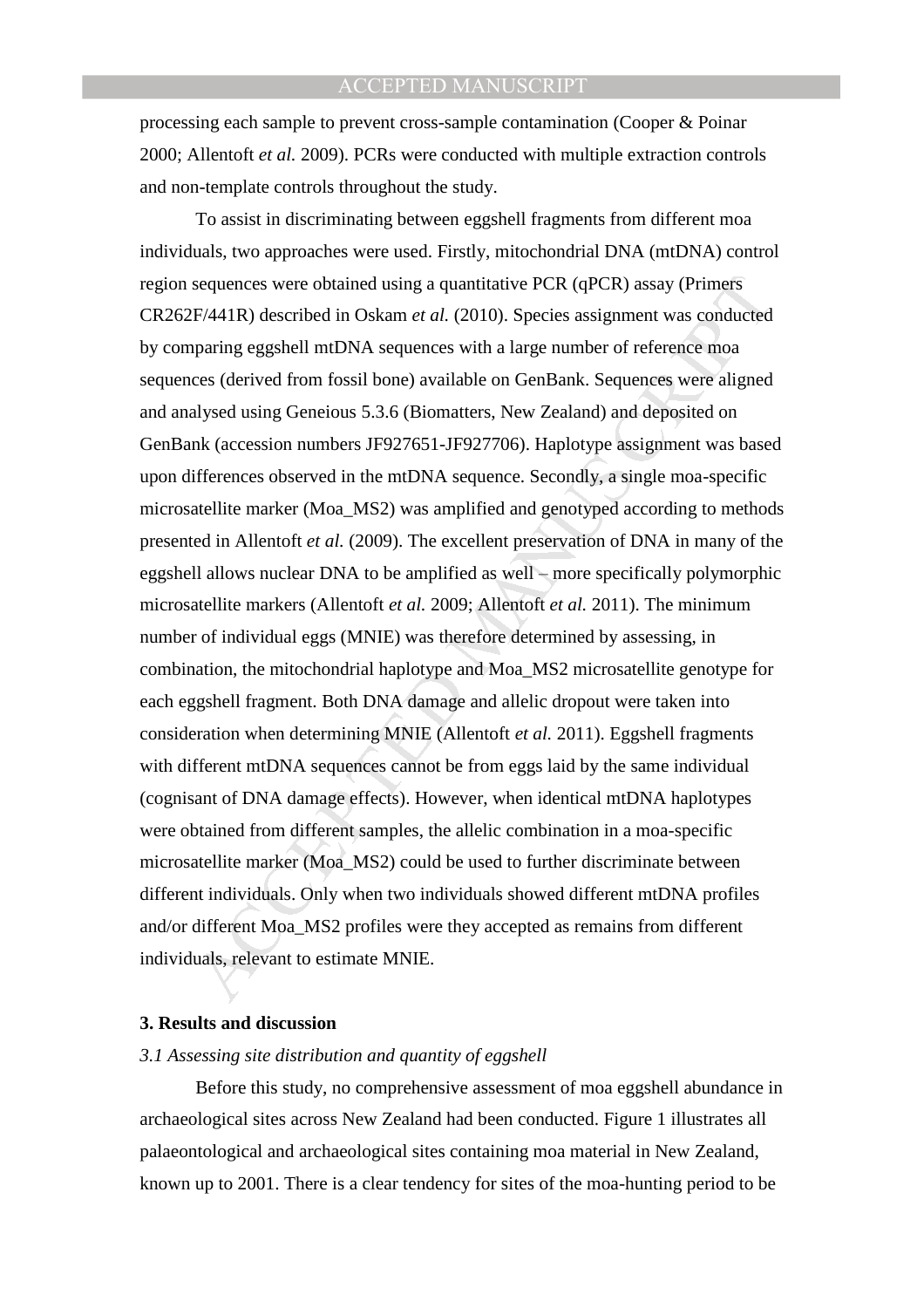processing each sample to prevent cross-sample contamination (Cooper & Poinar 2000; Allentoft *et al.* 2009). PCRs were conducted with multiple extraction controls and non-template controls throughout the study.

sequences were obtained using a quantitative PCR (qPCR) assay (Primers<br>F/441R) described in Oskam *et al.* (2010). Species assignment was conducted<br>paring eggshell mtDNA sequences with a large number of reference moa<br>ces ( To assist in discriminating between eggshell fragments from different moa individuals, two approaches were used. Firstly, mitochondrial DNA (mtDNA) control region sequences were obtained using a quantitative PCR (qPCR) assay (Primers CR262F/441R) described in Oskam *et al.* (2010). Species assignment was conducted by comparing eggshell mtDNA sequences with a large number of reference moa sequences (derived from fossil bone) available on GenBank. Sequences were aligned and analysed using Geneious 5.3.6 (Biomatters, New Zealand) and deposited on GenBank (accession numbers JF927651-JF927706). Haplotype assignment was based upon differences observed in the mtDNA sequence. Secondly, a single moa-specific microsatellite marker (Moa\_MS2) was amplified and genotyped according to methods presented in Allentoft *et al.* (2009). The excellent preservation of DNA in many of the eggshell allows nuclear DNA to be amplified as well – more specifically polymorphic microsatellite markers (Allentoft *et al.* 2009; Allentoft *et al.* 2011). The minimum number of individual eggs (MNIE) was therefore determined by assessing, in combination, the mitochondrial haplotype and Moa\_MS2 microsatellite genotype for each eggshell fragment. Both DNA damage and allelic dropout were taken into consideration when determining MNIE (Allentoft *et al.* 2011). Eggshell fragments with different mtDNA sequences cannot be from eggs laid by the same individual (cognisant of DNA damage effects). However, when identical mtDNA haplotypes were obtained from different samples, the allelic combination in a moa-specific microsatellite marker (Moa\_MS2) could be used to further discriminate between different individuals. Only when two individuals showed different mtDNA profiles and/or different Moa\_MS2 profiles were they accepted as remains from different individuals, relevant to estimate MNIE.

#### **3. Results and discussion**

#### *3.1 Assessing site distribution and quantity of eggshell*

Before this study, no comprehensive assessment of moa eggshell abundance in archaeological sites across New Zealand had been conducted. Figure 1 illustrates all palaeontological and archaeological sites containing moa material in New Zealand, known up to 2001. There is a clear tendency for sites of the moa-hunting period to be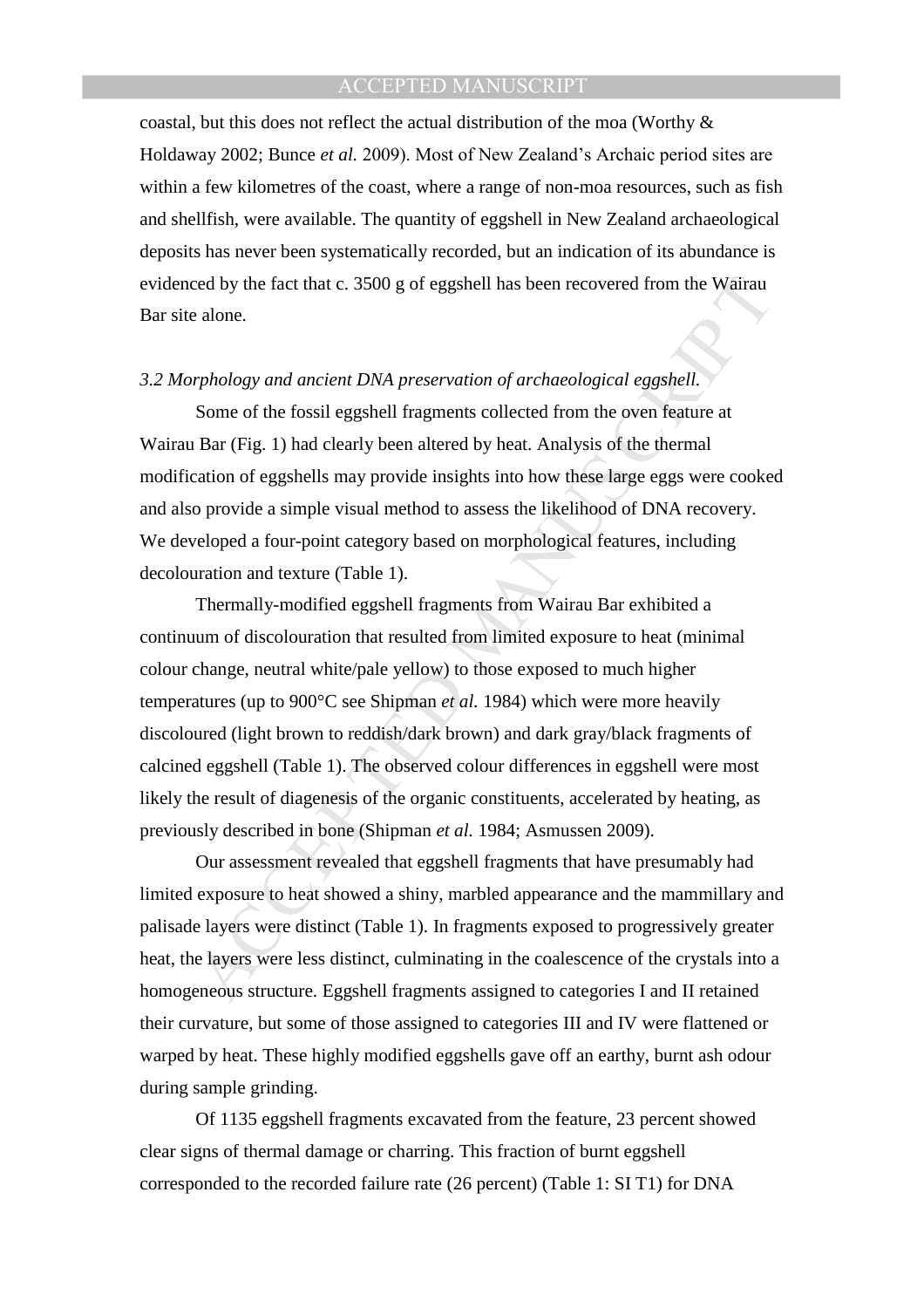coastal, but this does not reflect the actual distribution of the moa (Worthy & Holdaway 2002; Bunce *et al.* 2009). Most of New Zealand's Archaic period sites are within a few kilometres of the coast, where a range of non-moa resources, such as fish and shellfish, were available. The quantity of eggshell in New Zealand archaeological deposits has never been systematically recorded, but an indication of its abundance is evidenced by the fact that c. 3500 g of eggshell has been recovered from the Wairau Bar site alone.

#### *3.2 Morphology and ancient DNA preservation of archaeological eggshell.*

Some of the fossil eggshell fragments collected from the oven feature at Wairau Bar (Fig. 1) had clearly been altered by heat. Analysis of the thermal modification of eggshells may provide insights into how these large eggs were cooked and also provide a simple visual method to assess the likelihood of DNA recovery. We developed a four-point category based on morphological features, including decolouration and texture (Table 1).

eed by the fact that c. 3500 g of eggshell has been recovered from the Wairau alone.<br> *arphology and ancient DNA preservation of archaeological eggshell.*<br> *APHology and ancient DNA preservation of archaeological eggshell.* Thermally-modified eggshell fragments from Wairau Bar exhibited a continuum of discolouration that resulted from limited exposure to heat (minimal colour change, neutral white/pale yellow) to those exposed to much higher temperatures (up to 900°C see Shipman *et al.* 1984) which were more heavily discoloured (light brown to reddish/dark brown) and dark gray/black fragments of calcined eggshell (Table 1). The observed colour differences in eggshell were most likely the result of diagenesis of the organic constituents, accelerated by heating, as previously described in bone (Shipman *et al.* 1984; Asmussen 2009).

Our assessment revealed that eggshell fragments that have presumably had limited exposure to heat showed a shiny, marbled appearance and the mammillary and palisade layers were distinct (Table 1). In fragments exposed to progressively greater heat, the layers were less distinct, culminating in the coalescence of the crystals into a homogeneous structure. Eggshell fragments assigned to categories I and II retained their curvature, but some of those assigned to categories III and IV were flattened or warped by heat. These highly modified eggshells gave off an earthy, burnt ash odour during sample grinding.

Of 1135 eggshell fragments excavated from the feature, 23 percent showed clear signs of thermal damage or charring. This fraction of burnt eggshell corresponded to the recorded failure rate (26 percent) (Table 1: SI T1) for DNA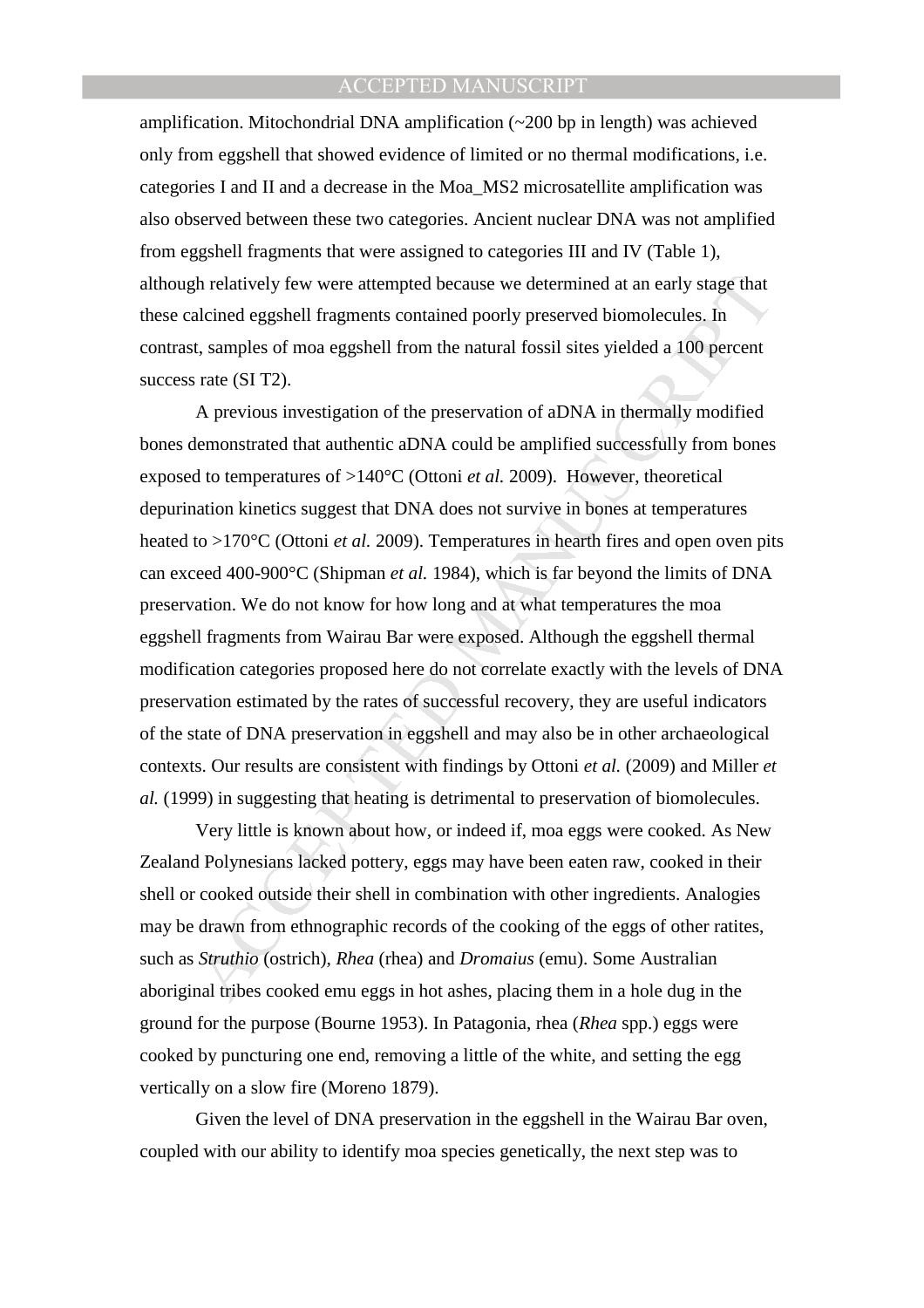amplification. Mitochondrial DNA amplification (~200 bp in length) was achieved only from eggshell that showed evidence of limited or no thermal modifications, i.e. categories I and II and a decrease in the Moa\_MS2 microsatellite amplification was also observed between these two categories. Ancient nuclear DNA was not amplified from eggshell fragments that were assigned to categories III and IV (Table 1), although relatively few were attempted because we determined at an early stage that these calcined eggshell fragments contained poorly preserved biomolecules. In contrast, samples of moa eggshell from the natural fossil sites yielded a 100 percent success rate (SI T2).

gh relatively few were attempted because we determined at an early stage that<br>alcined eggshell fragments contained poorly preserved biomolecules. In<br>a, samples of moa eggshell from the natural fossil sites yielded a 100 p A previous investigation of the preservation of aDNA in thermally modified bones demonstrated that authentic aDNA could be amplified successfully from bones exposed to temperatures of >140°C (Ottoni *et al.* 2009). However, theoretical depurination kinetics suggest that DNA does not survive in bones at temperatures heated to >170°C (Ottoni *et al.* 2009). Temperatures in hearth fires and open oven pits can exceed 400-900°C (Shipman *et al.* 1984), which is far beyond the limits of DNA preservation. We do not know for how long and at what temperatures the moa eggshell fragments from Wairau Bar were exposed. Although the eggshell thermal modification categories proposed here do not correlate exactly with the levels of DNA preservation estimated by the rates of successful recovery, they are useful indicators of the state of DNA preservation in eggshell and may also be in other archaeological contexts. Our results are consistent with findings by Ottoni *et al.* (2009) and Miller *et al.* (1999) in suggesting that heating is detrimental to preservation of biomolecules.

Very little is known about how, or indeed if, moa eggs were cooked. As New Zealand Polynesians lacked pottery, eggs may have been eaten raw, cooked in their shell or cooked outside their shell in combination with other ingredients. Analogies may be drawn from ethnographic records of the cooking of the eggs of other ratites, such as *Struthio* (ostrich), *Rhea* (rhea) and *Dromaius* (emu). Some Australian aboriginal tribes cooked emu eggs in hot ashes, placing them in a hole dug in the ground for the purpose (Bourne 1953). In Patagonia, rhea (*Rhea* spp.) eggs were cooked by puncturing one end, removing a little of the white, and setting the egg vertically on a slow fire (Moreno 1879).

Given the level of DNA preservation in the eggshell in the Wairau Bar oven, coupled with our ability to identify moa species genetically, the next step was to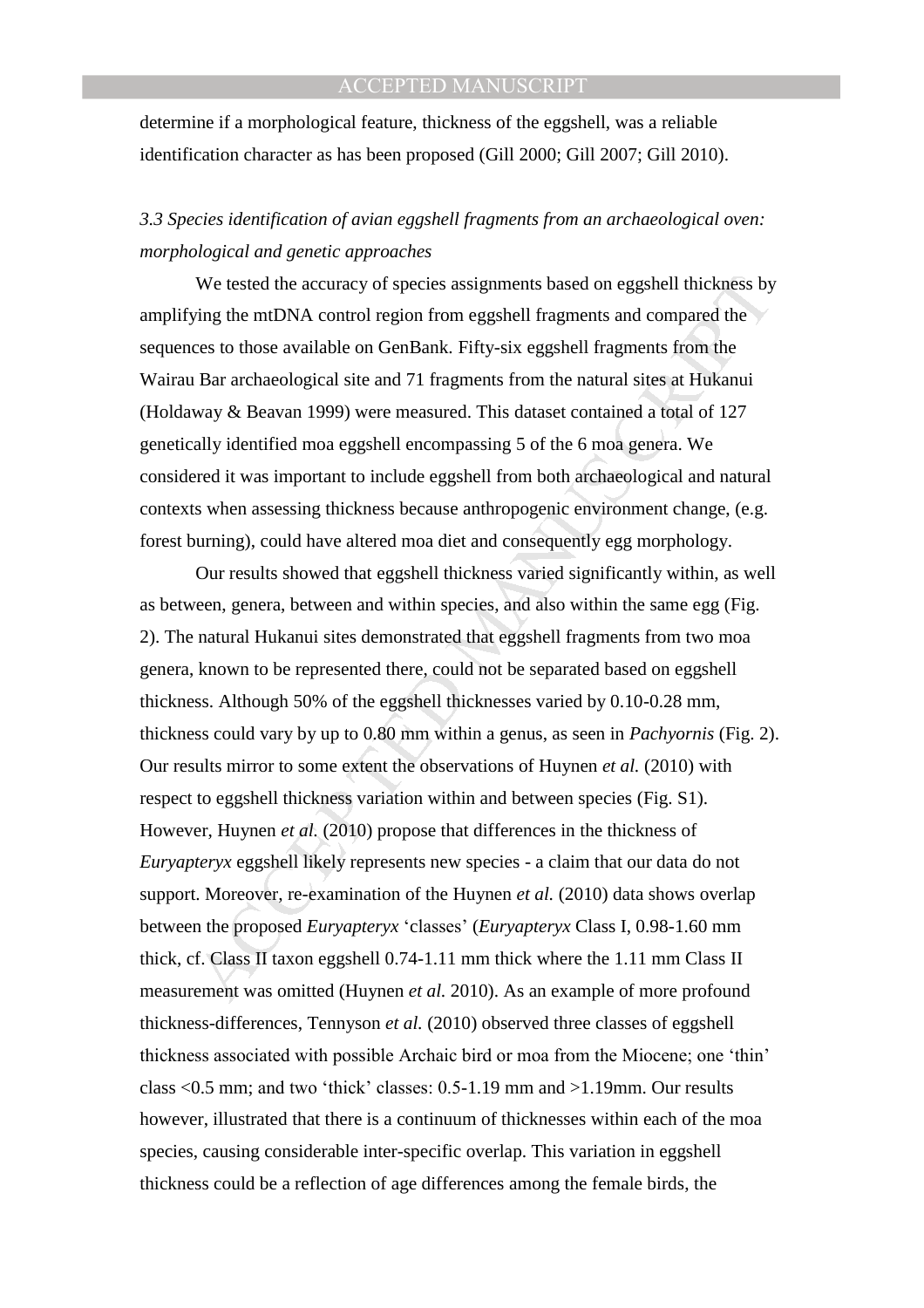determine if a morphological feature, thickness of the eggshell, was a reliable identification character as has been proposed (Gill 2000; Gill 2007; Gill 2010).

# *3.3 Species identification of avian eggshell fragments from an archaeological oven: morphological and genetic approaches*

We tested the accuracy of species assignments based on eggshell thickness by amplifying the mtDNA control region from eggshell fragments and compared the sequences to those available on GenBank. Fifty-six eggshell fragments from the Wairau Bar archaeological site and 71 fragments from the natural sites at Hukanui (Holdaway & Beavan 1999) were measured. This dataset contained a total of 127 genetically identified moa eggshell encompassing 5 of the 6 moa genera. We considered it was important to include eggshell from both archaeological and natural contexts when assessing thickness because anthropogenic environment change, (e.g. forest burning), could have altered moa diet and consequently egg morphology.

We tested the accuracy of species assignments based on eggshell thickness by<br>sing the mtDNA control region from eggshell fragments and compared the<br>ces to those available on GenBank. Fifty-six eggshell fragments from the<br> Our results showed that eggshell thickness varied significantly within, as well as between, genera, between and within species, and also within the same egg (Fig. 2). The natural Hukanui sites demonstrated that eggshell fragments from two moa genera, known to be represented there, could not be separated based on eggshell thickness. Although 50% of the eggshell thicknesses varied by 0.10-0.28 mm, thickness could vary by up to 0.80 mm within a genus, as seen in *Pachyornis* (Fig. 2). Our results mirror to some extent the observations of Huynen *et al.* (2010) with respect to eggshell thickness variation within and between species (Fig. S1). However, Huynen *et al.* (2010) propose that differences in the thickness of *Euryapteryx* eggshell likely represents new species - a claim that our data do not support. Moreover, re-examination of the Huynen *et al.* (2010) data shows overlap between the proposed *Euryapteryx* 'classes' (*Euryapteryx* Class I, 0.98-1.60 mm thick, cf. Class II taxon eggshell 0.74-1.11 mm thick where the 1.11 mm Class II measurement was omitted (Huynen *et al.* 2010). As an example of more profound thickness-differences, Tennyson *et al.* (2010) observed three classes of eggshell thickness associated with possible Archaic bird or moa from the Miocene; one 'thin' class <0.5 mm; and two 'thick' classes: 0.5-1.19 mm and >1.19mm. Our results however, illustrated that there is a continuum of thicknesses within each of the moa species, causing considerable inter-specific overlap. This variation in eggshell thickness could be a reflection of age differences among the female birds, the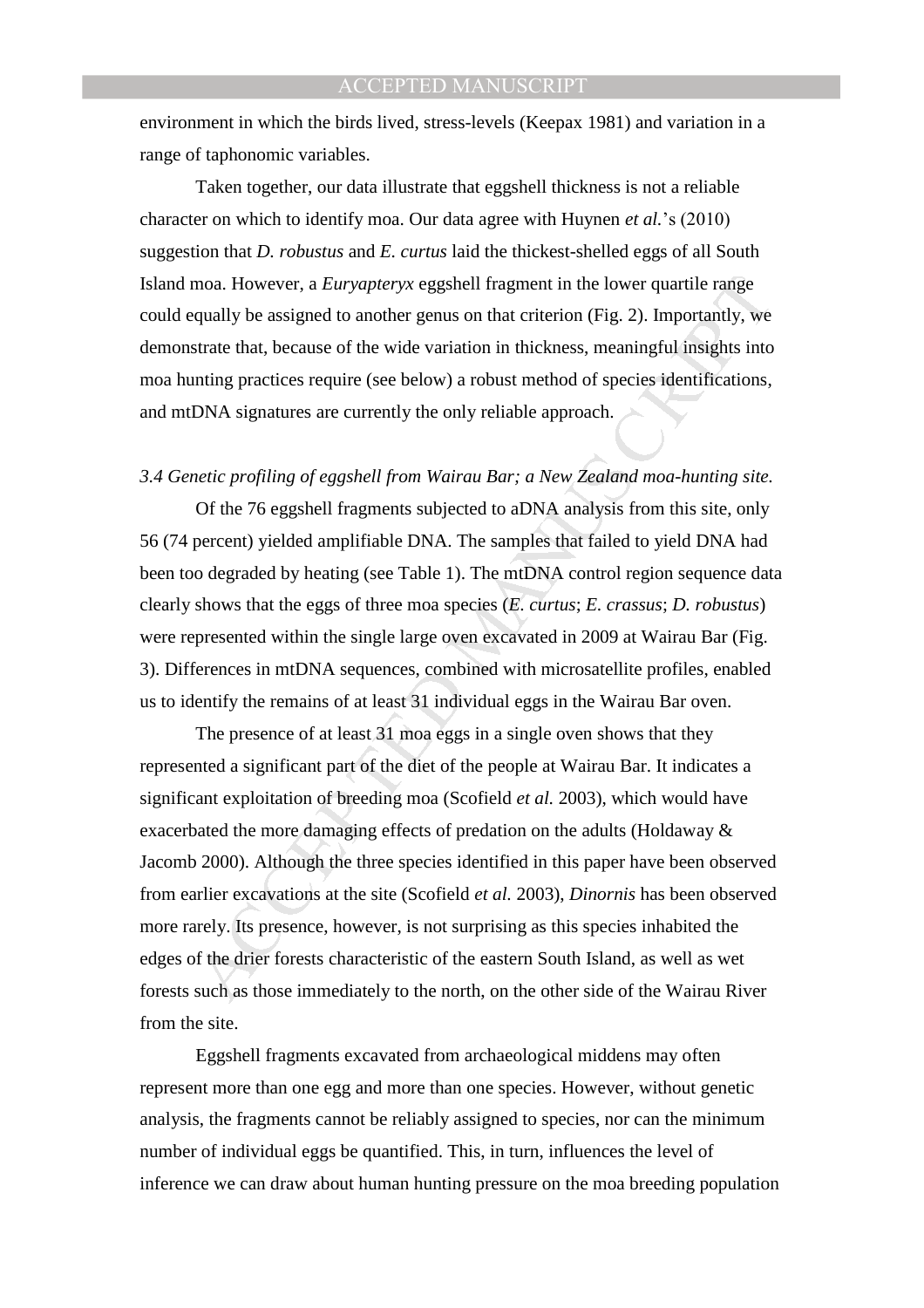environment in which the birds lived, stress-levels (Keepax 1981) and variation in a range of taphonomic variables.

Taken together, our data illustrate that eggshell thickness is not a reliable character on which to identify moa. Our data agree with Huynen *et al.*'s (2010) suggestion that *D. robustus* and *E. curtus* laid the thickest-shelled eggs of all South Island moa. However, a *Euryapteryx* eggshell fragment in the lower quartile range could equally be assigned to another genus on that criterion (Fig. 2). Importantly, we demonstrate that, because of the wide variation in thickness, meaningful insights into moa hunting practices require (see below) a robust method of species identifications, and mtDNA signatures are currently the only reliable approach.

# *3.4 Genetic profiling of eggshell from Wairau Bar; a New Zealand moa-hunting site.*

Of the 76 eggshell fragments subjected to aDNA analysis from this site, only 56 (74 percent) yielded amplifiable DNA. The samples that failed to yield DNA had been too degraded by heating (see Table 1). The mtDNA control region sequence data clearly shows that the eggs of three moa species (*E. curtus*; *E. crassus*; *D. robustus*) were represented within the single large oven excavated in 2009 at Wairau Bar (Fig. 3). Differences in mtDNA sequences, combined with microsatellite profiles, enabled us to identify the remains of at least 31 individual eggs in the Wairau Bar oven.

moa. However, a *Euryapteryx* eggshell fragment in the lower quartile range<br>qually be assigned to another genus on that criterion (Fig. 2). Importantly, we<br>strate that, because of the wide variation in thickness, meaningf The presence of at least 31 moa eggs in a single oven shows that they represented a significant part of the diet of the people at Wairau Bar. It indicates a significant exploitation of breeding moa (Scofield *et al.* 2003), which would have exacerbated the more damaging effects of predation on the adults (Holdaway & Jacomb 2000). Although the three species identified in this paper have been observed from earlier excavations at the site (Scofield *et al.* 2003), *Dinornis* has been observed more rarely. Its presence, however, is not surprising as this species inhabited the edges of the drier forests characteristic of the eastern South Island, as well as wet forests such as those immediately to the north, on the other side of the Wairau River from the site.

Eggshell fragments excavated from archaeological middens may often represent more than one egg and more than one species. However, without genetic analysis, the fragments cannot be reliably assigned to species, nor can the minimum number of individual eggs be quantified. This, in turn, influences the level of inference we can draw about human hunting pressure on the moa breeding population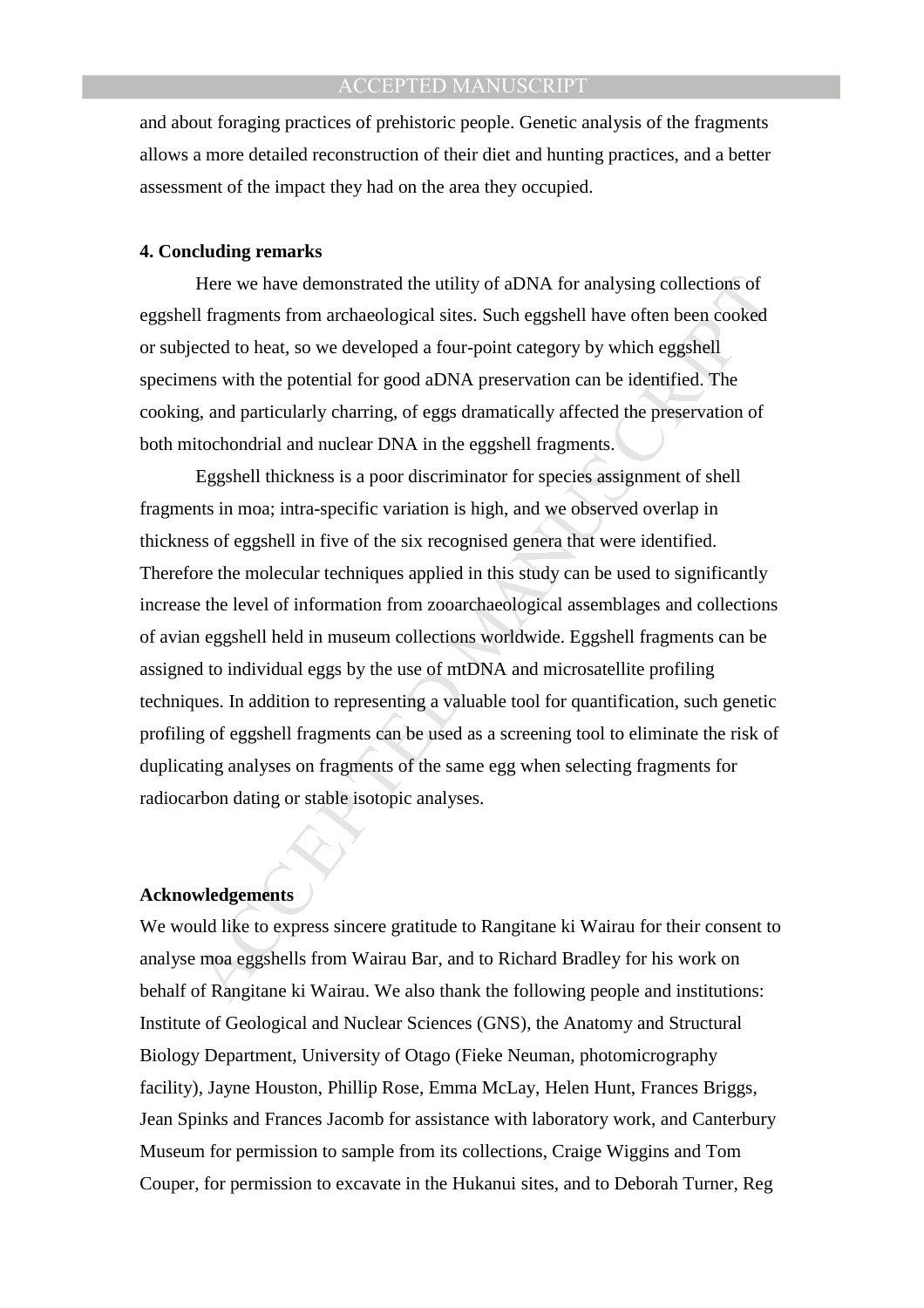and about foraging practices of prehistoric people. Genetic analysis of the fragments allows a more detailed reconstruction of their diet and hunting practices, and a better assessment of the impact they had on the area they occupied.

#### **4. Concluding remarks**

Here we have demonstrated the utility of aDNA for analysing collections of eggshell fragments from archaeological sites. Such eggshell have often been cooked or subjected to heat, so we developed a four-point category by which eggshell specimens with the potential for good aDNA preservation can be identified. The cooking, and particularly charring, of eggs dramatically affected the preservation of both mitochondrial and nuclear DNA in the eggshell fragments.

Here we have demonstrated the utility of aDNA for analysing collections of<br>If fragments from archaeological sites. Such eggshell have often been cooked<br>ected to heat, so we developed a four-point category by which eggshell Eggshell thickness is a poor discriminator for species assignment of shell fragments in moa; intra-specific variation is high, and we observed overlap in thickness of eggshell in five of the six recognised genera that were identified. Therefore the molecular techniques applied in this study can be used to significantly increase the level of information from zooarchaeological assemblages and collections of avian eggshell held in museum collections worldwide. Eggshell fragments can be assigned to individual eggs by the use of mtDNA and microsatellite profiling techniques. In addition to representing a valuable tool for quantification, such genetic profiling of eggshell fragments can be used as a screening tool to eliminate the risk of duplicating analyses on fragments of the same egg when selecting fragments for radiocarbon dating or stable isotopic analyses.

#### **Acknowledgements**

We would like to express sincere gratitude to Rangitane ki Wairau for their consent to analyse moa eggshells from Wairau Bar, and to Richard Bradley for his work on behalf of Rangitane ki Wairau. We also thank the following people and institutions: Institute of Geological and Nuclear Sciences (GNS), the Anatomy and Structural Biology Department, University of Otago (Fieke Neuman, photomicrography facility), Jayne Houston, Phillip Rose, Emma McLay, Helen Hunt, Frances Briggs, Jean Spinks and Frances Jacomb for assistance with laboratory work, and Canterbury Museum for permission to sample from its collections, Craige Wiggins and Tom Couper, for permission to excavate in the Hukanui sites, and to Deborah Turner, Reg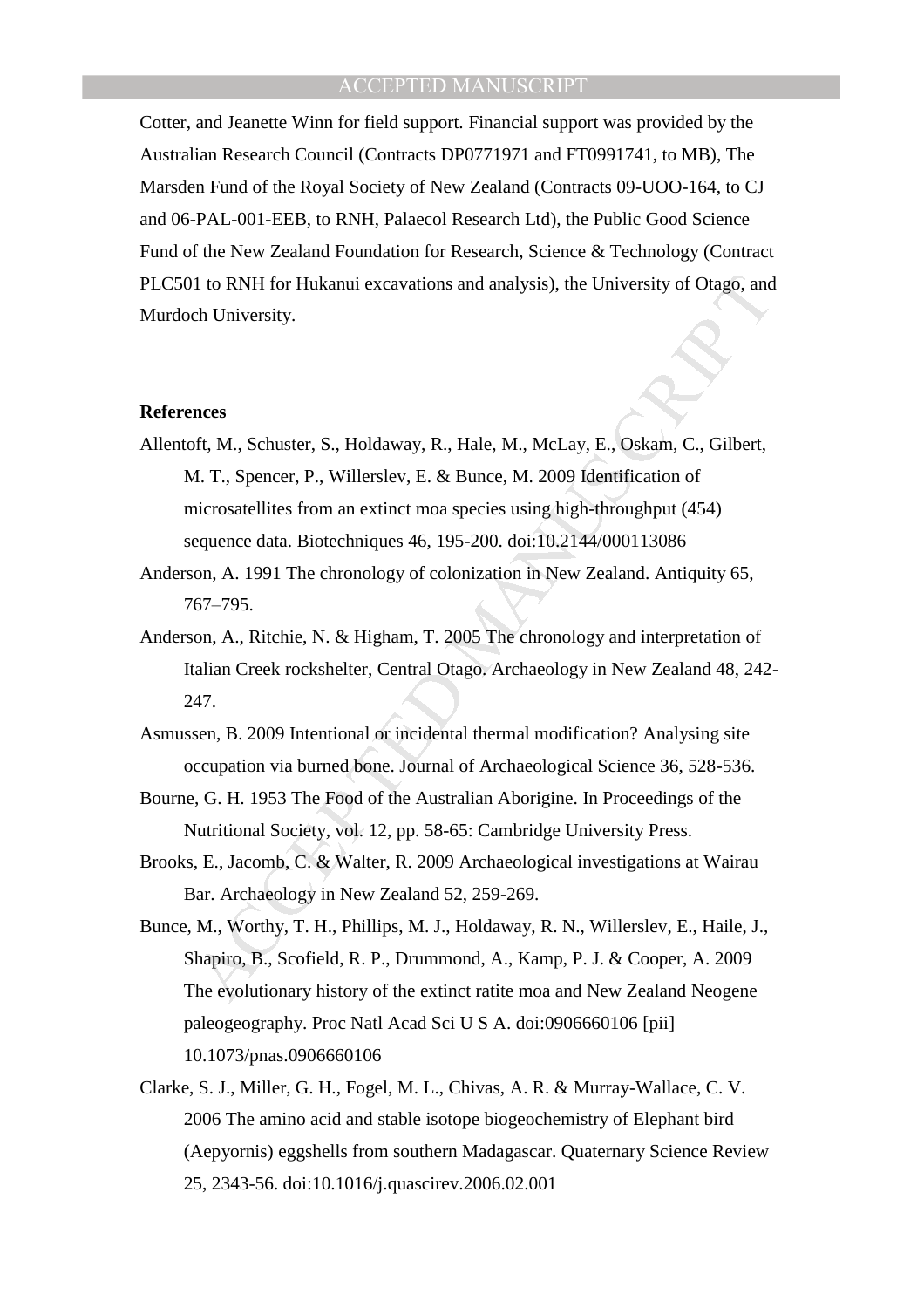Cotter, and Jeanette Winn for field support. Financial support was provided by the Australian Research Council (Contracts DP0771971 and FT0991741, to MB), The Marsden Fund of the Royal Society of New Zealand (Contracts 09-UOO-164, to CJ and 06-PAL-001-EEB, to RNH, Palaecol Research Ltd), the Public Good Science Fund of the New Zealand Foundation for Research, Science & Technology (Contract PLC501 to RNH for Hukanui excavations and analysis), the University of Otago, and Murdoch University.

#### **References**

- 1 to RNH for Hukanui excavations and analysis), the University of Otago, and<br>
th University.<br>
Reformation and analysis), Reformation Colombia Consider<br>
1. T., Spencer, P., Willerslev, E. & Bunce, M. 2009 Identification of<br> Allentoft, M., Schuster, S., Holdaway, R., Hale, M., McLay, E., Oskam, C., Gilbert, M. T., Spencer, P., Willerslev, E. & Bunce, M. 2009 Identification of microsatellites from an extinct moa species using high-throughput (454) sequence data. Biotechniques 46, 195-200. doi:10.2144/000113086
- Anderson, A. 1991 The chronology of colonization in New Zealand. Antiquity 65, 767–795.
- Anderson, A., Ritchie, N. & Higham, T. 2005 The chronology and interpretation of Italian Creek rockshelter, Central Otago. Archaeology in New Zealand 48, 242- 247.
- Asmussen, B. 2009 Intentional or incidental thermal modification? Analysing site occupation via burned bone. Journal of Archaeological Science 36, 528-536.
- Bourne, G. H. 1953 The Food of the Australian Aborigine. In Proceedings of the Nutritional Society, vol. 12, pp. 58-65: Cambridge University Press.
- Brooks, E., Jacomb, C. & Walter, R. 2009 Archaeological investigations at Wairau Bar. Archaeology in New Zealand 52, 259-269.
- Bunce, M., Worthy, T. H., Phillips, M. J., Holdaway, R. N., Willerslev, E., Haile, J., Shapiro, B., Scofield, R. P., Drummond, A., Kamp, P. J. & Cooper, A. 2009 The evolutionary history of the extinct ratite moa and New Zealand Neogene paleogeography. Proc Natl Acad Sci U S A. doi:0906660106 [pii] 10.1073/pnas.0906660106
- Clarke, S. J., Miller, G. H., Fogel, M. L., Chivas, A. R. & Murray-Wallace, C. V. 2006 The amino acid and stable isotope biogeochemistry of Elephant bird (Aepyornis) eggshells from southern Madagascar. Quaternary Science Review 25, 2343-56. doi:10.1016/j.quascirev.2006.02.001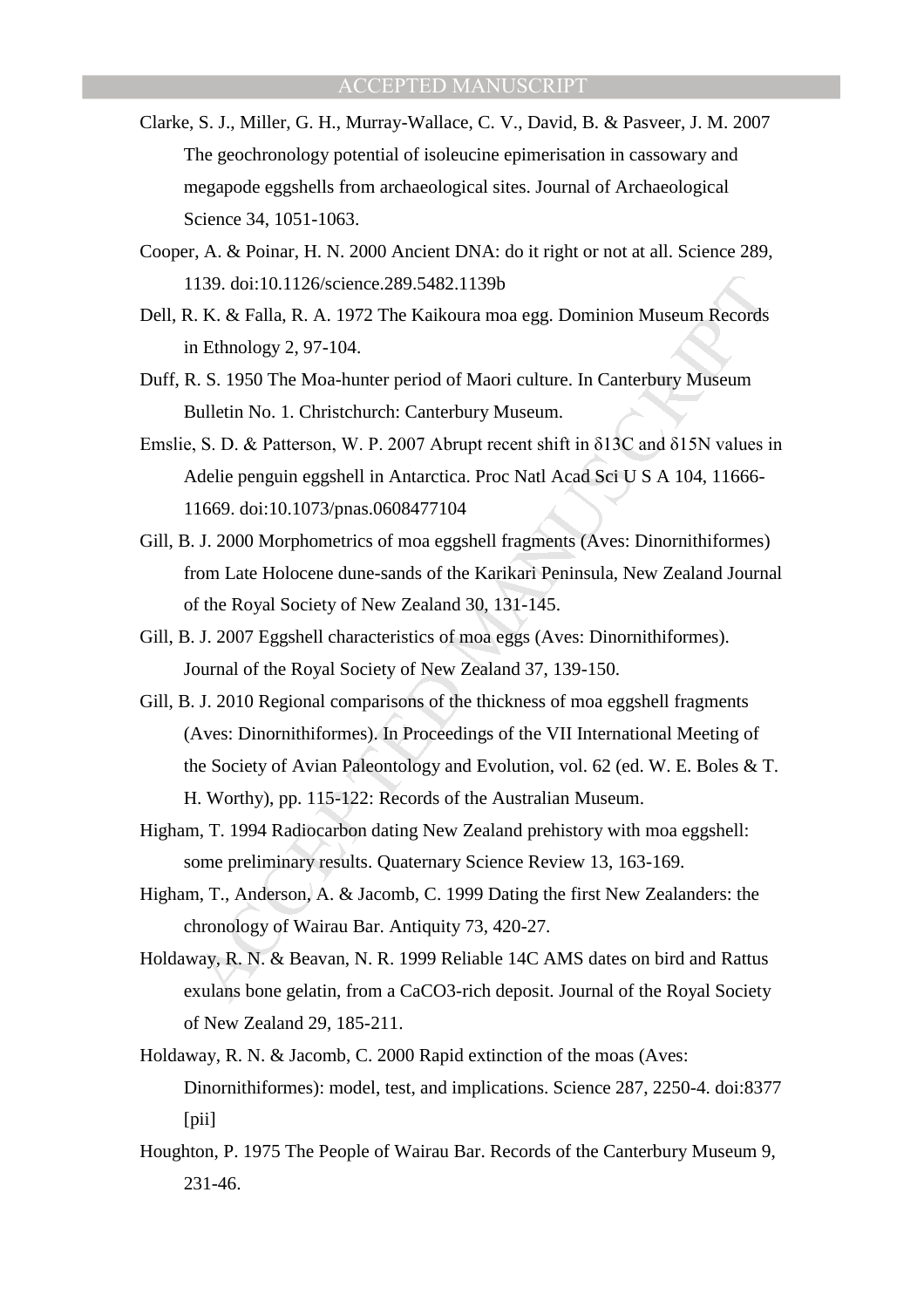- Clarke, S. J., Miller, G. H., Murray-Wallace, C. V., David, B. & Pasveer, J. M. 2007 The geochronology potential of isoleucine epimerisation in cassowary and megapode eggshells from archaeological sites. Journal of Archaeological Science 34, 1051-1063.
- Cooper, A. & Poinar, H. N. 2000 Ancient DNA: do it right or not at all. Science 289, 1139. doi:10.1126/science.289.5482.1139b
- Dell, R. K. & Falla, R. A. 1972 The Kaikoura moa egg. Dominion Museum Records in Ethnology 2, 97-104.
- Duff, R. S. 1950 The Moa-hunter period of Maori culture. In Canterbury Museum Bulletin No. 1. Christchurch: Canterbury Museum.
- Emslie, S. D. & Patterson, W. P. 2007 Abrupt recent shift in δ13C and δ15N values in Adelie penguin eggshell in Antarctica. Proc Natl Acad Sci U S A 104, 11666- 11669. doi:10.1073/pnas.0608477104
- Gill, B. J. 2000 Morphometrics of moa eggshell fragments (Aves: Dinornithiformes) from Late Holocene dune-sands of the Karikari Peninsula, New Zealand Journal of the Royal Society of New Zealand 30, 131-145.
- Gill, B. J. 2007 Eggshell characteristics of moa eggs (Aves: Dinornithiformes). Journal of the Royal Society of New Zealand 37, 139-150.
- 139. doi:10.1126/science.289.5482.1139b<br>
1.8. K. & Falla, R. A. 1972 The Kaikoura moa egg. Dominion Museum Records<br>
1.8. K. & Falla, R. A. 1972 The Kaikoura moa egg. Dominion Museum Records<br>
1.8. I 950 The Moa-hunter perio Gill, B. J. 2010 Regional comparisons of the thickness of moa eggshell fragments (Aves: Dinornithiformes). In Proceedings of the VII International Meeting of the Society of Avian Paleontology and Evolution, vol. 62 (ed. W. E. Boles & T. H. Worthy), pp. 115-122: Records of the Australian Museum.
- Higham, T. 1994 Radiocarbon dating New Zealand prehistory with moa eggshell: some preliminary results. Quaternary Science Review 13, 163-169.
- Higham, T., Anderson, A. & Jacomb, C. 1999 Dating the first New Zealanders: the chronology of Wairau Bar. Antiquity 73, 420-27.
- Holdaway, R. N. & Beavan, N. R. 1999 Reliable 14C AMS dates on bird and Rattus exulans bone gelatin, from a CaCO3-rich deposit. Journal of the Royal Society of New Zealand 29, 185-211.
- Holdaway, R. N. & Jacomb, C. 2000 Rapid extinction of the moas (Aves: Dinornithiformes): model, test, and implications. Science 287, 2250-4. doi:8377 [pii]
- Houghton, P. 1975 The People of Wairau Bar. Records of the Canterbury Museum 9, 231-46.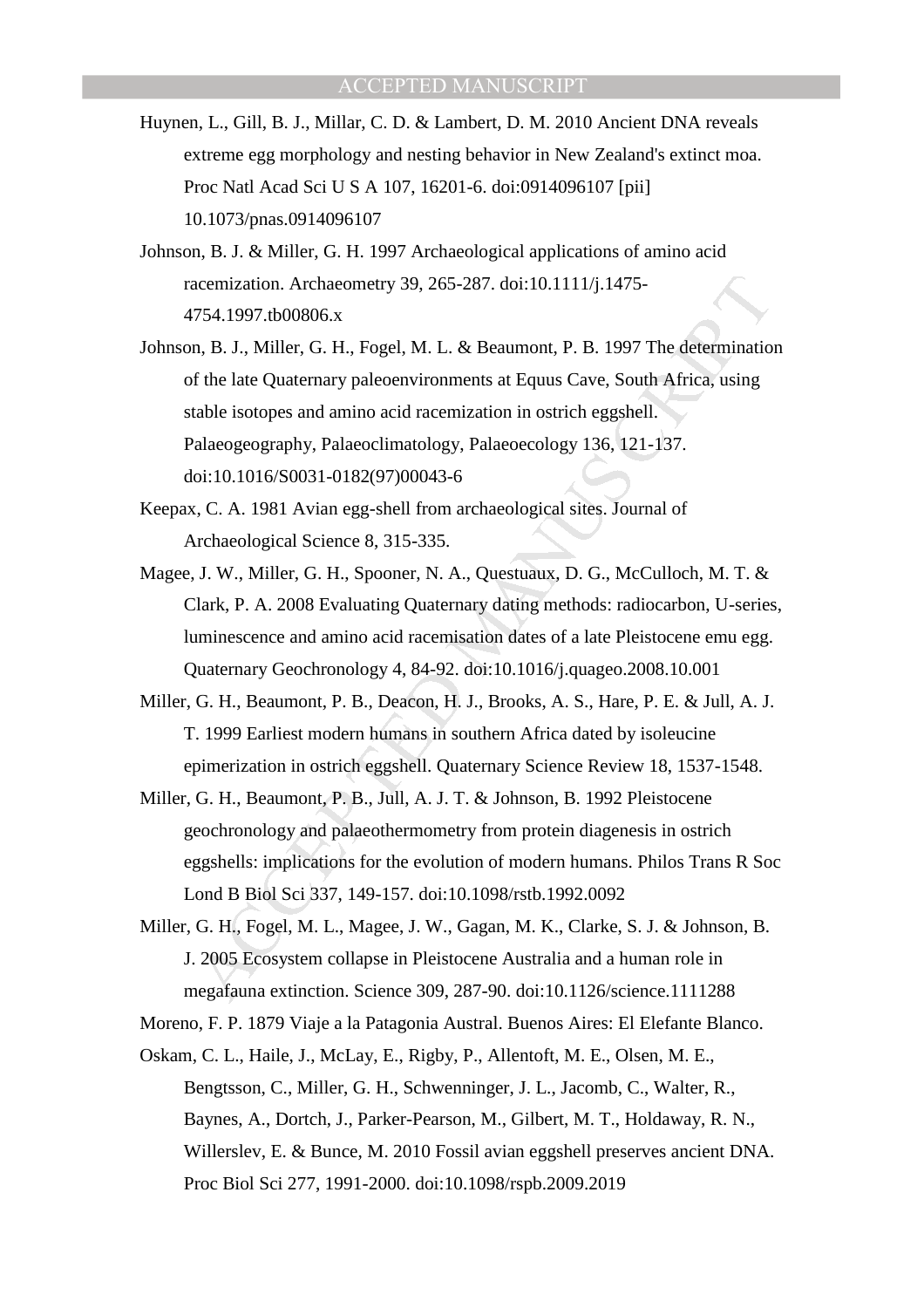- Huynen, L., Gill, B. J., Millar, C. D. & Lambert, D. M. 2010 Ancient DNA reveals extreme egg morphology and nesting behavior in New Zealand's extinct moa. Proc Natl Acad Sci U S A 107, 16201-6. doi:0914096107 [pii] 10.1073/pnas.0914096107
- Johnson, B. J. & Miller, G. H. 1997 Archaeological applications of amino acid racemization. Archaeometry 39, 265-287. doi:10.1111/j.1475- 4754.1997.tb00806.x
- acemization. Archaeometry 39, 265-287. doi:10.1111/j.1475-754.1997.tb00806.x<br>
7.54.1997.tb00806.x<br>
7.1. Niller, G. H., Fogel, M. L. & Beaumont, P. B. 1997 The determinatio<br>
f the late Quaternary paleoenvironments at Equus Johnson, B. J., Miller, G. H., Fogel, M. L. & Beaumont, P. B. 1997 The determination of the late Quaternary paleoenvironments at Equus Cave, South Africa, using stable isotopes and amino acid racemization in ostrich eggshell. Palaeogeography, Palaeoclimatology, Palaeoecology 136, 121-137. doi:10.1016/S0031-0182(97)00043-6
- Keepax, C. A. 1981 Avian egg-shell from archaeological sites. Journal of Archaeological Science 8, 315-335.
- Magee, J. W., Miller, G. H., Spooner, N. A., Questuaux, D. G., McCulloch, M. T. & Clark, P. A. 2008 Evaluating Quaternary dating methods: radiocarbon, U-series, luminescence and amino acid racemisation dates of a late Pleistocene emu egg. Quaternary Geochronology 4, 84-92. doi:10.1016/j.quageo.2008.10.001
- Miller, G. H., Beaumont, P. B., Deacon, H. J., Brooks, A. S., Hare, P. E. & Jull, A. J. T. 1999 Earliest modern humans in southern Africa dated by isoleucine epimerization in ostrich eggshell. Quaternary Science Review 18, 1537-1548.
- Miller, G. H., Beaumont, P. B., Jull, A. J. T. & Johnson, B. 1992 Pleistocene geochronology and palaeothermometry from protein diagenesis in ostrich eggshells: implications for the evolution of modern humans. Philos Trans R Soc Lond B Biol Sci 337, 149-157. doi:10.1098/rstb.1992.0092
- Miller, G. H., Fogel, M. L., Magee, J. W., Gagan, M. K., Clarke, S. J. & Johnson, B. J. 2005 Ecosystem collapse in Pleistocene Australia and a human role in megafauna extinction. Science 309, 287-90. doi:10.1126/science.1111288

Moreno, F. P. 1879 Viaje a la Patagonia Austral. Buenos Aires: El Elefante Blanco.

Oskam, C. L., Haile, J., McLay, E., Rigby, P., Allentoft, M. E., Olsen, M. E., Bengtsson, C., Miller, G. H., Schwenninger, J. L., Jacomb, C., Walter, R., Baynes, A., Dortch, J., Parker-Pearson, M., Gilbert, M. T., Holdaway, R. N., Willerslev, E. & Bunce, M. 2010 Fossil avian eggshell preserves ancient DNA. Proc Biol Sci 277, 1991-2000. doi:10.1098/rspb.2009.2019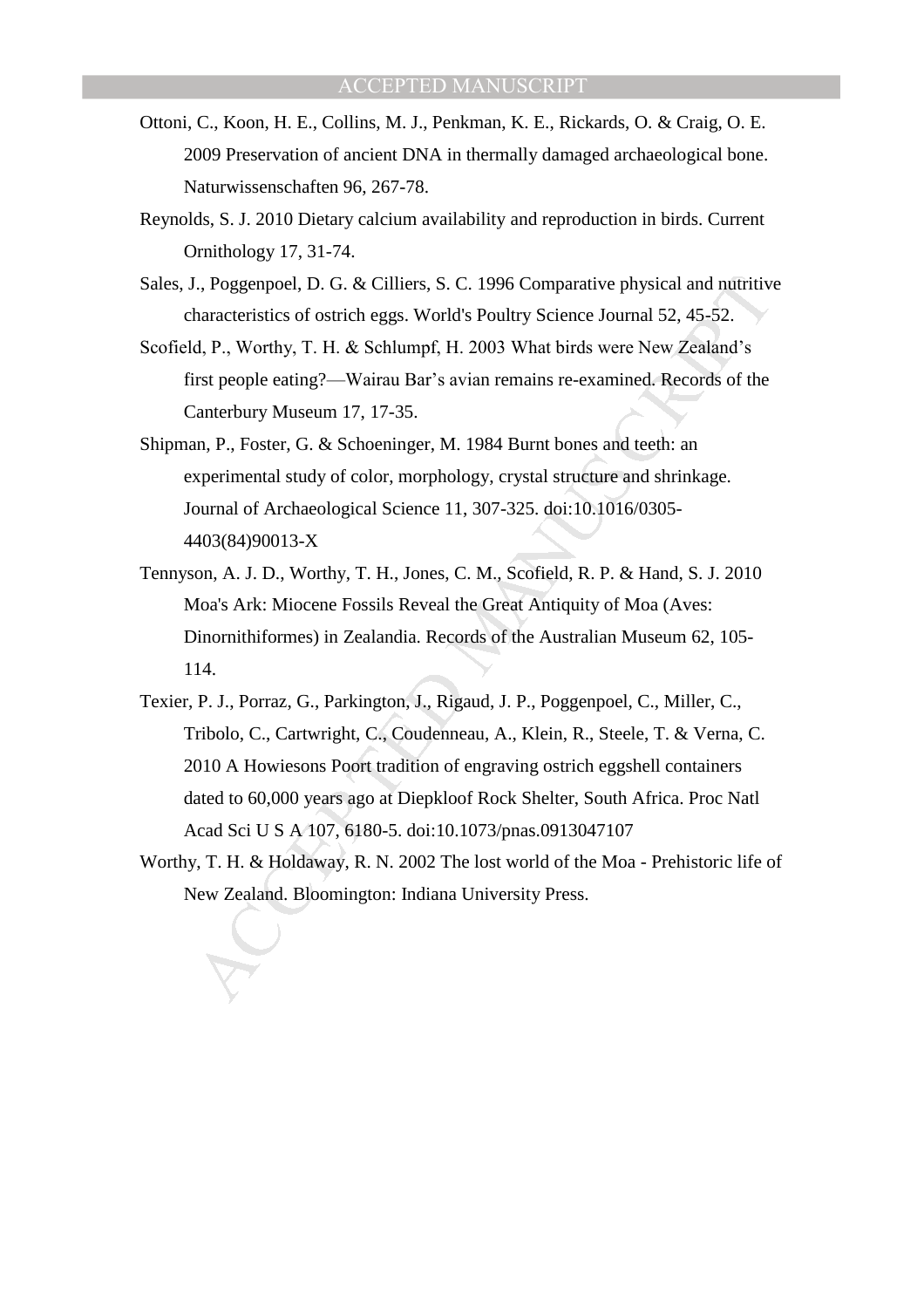- Ottoni, C., Koon, H. E., Collins, M. J., Penkman, K. E., Rickards, O. & Craig, O. E. 2009 Preservation of ancient DNA in thermally damaged archaeological bone. Naturwissenschaften 96, 267-78.
- Reynolds, S. J. 2010 Dietary calcium availability and reproduction in birds. Current Ornithology 17, 31-74.
- Sales, J., Poggenpoel, D. G. & Cilliers, S. C. 1996 Comparative physical and nutritive characteristics of ostrich eggs. World's Poultry Science Journal 52, 45-52.
- Scofield, P., Worthy, T. H. & Schlumpf, H. 2003 What birds were New Zealand's first people eating?—Wairau Bar's avian remains re-examined. Records of the Canterbury Museum 17, 17-35.
- Shipman, P., Foster, G. & Schoeninger, M. 1984 Burnt bones and teeth: an experimental study of color, morphology, crystal structure and shrinkage. Journal of Archaeological Science 11, 307-325. doi:10.1016/0305- 4403(84)90013-X
- Tennyson, A. J. D., Worthy, T. H., Jones, C. M., Scofield, R. P. & Hand, S. J. 2010 Moa's Ark: Miocene Fossils Reveal the Great Antiquity of Moa (Aves: Dinornithiformes) in Zealandia. Records of the Australian Museum 62, 105- 114.
- I., Poggenpoel, D. G. & Cilliers, S. C. 1996 Comparative physical and nutritive haracteristics of ostrich eggs. World's Poultry Science Journal 52, 45-52.<br>
4, P., Worthy, T. H. & Schlumpf, H. 2003 What birds were New Zcala Texier, P. J., Porraz, G., Parkington, J., Rigaud, J. P., Poggenpoel, C., Miller, C., Tribolo, C., Cartwright, C., Coudenneau, A., Klein, R., Steele, T. & Verna, C. 2010 A Howiesons Poort tradition of engraving ostrich eggshell containers dated to 60,000 years ago at Diepkloof Rock Shelter, South Africa. Proc Natl Acad Sci U S A 107, 6180-5. doi:10.1073/pnas.0913047107
- Worthy, T. H. & Holdaway, R. N. 2002 The lost world of the Moa Prehistoric life of New Zealand. Bloomington: Indiana University Press.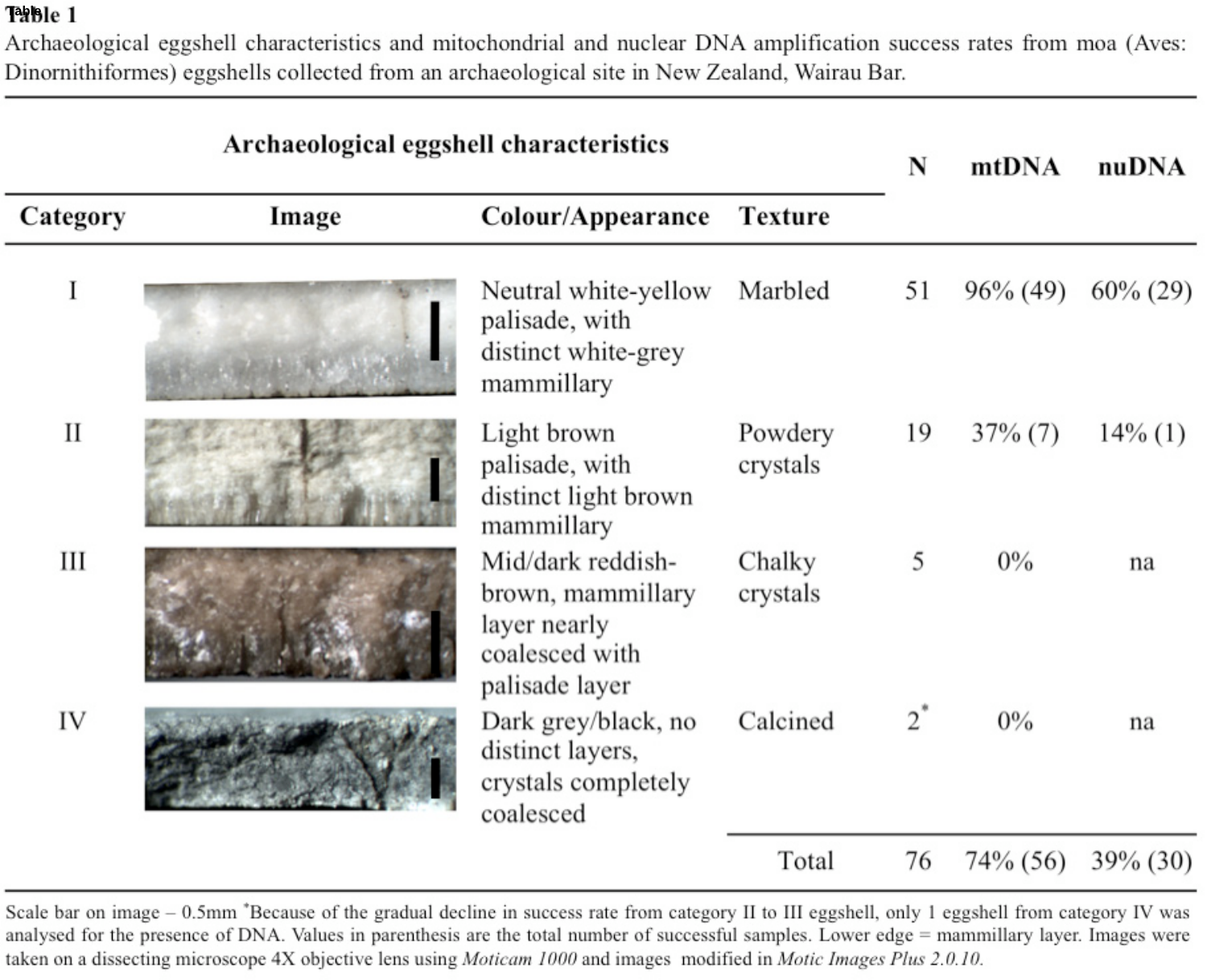# **Table**

Archaeological eggshell characteristics and mitochondrial and nuclear DNA amplification success rates from moa (Aves: Dinornithiformes) eggshells collected from an archaeological site in New Zealand, Wairau Bar.

| Archaeological eggshell characteristics |                                                 |                                                                                            |                     | N     | mtDNA       | nuDNA       |
|-----------------------------------------|-------------------------------------------------|--------------------------------------------------------------------------------------------|---------------------|-------|-------------|-------------|
| Category                                | Image                                           | Colour/Appearance                                                                          | Texture             |       |             |             |
| $\bf{r}$                                |                                                 | Neutral white-yellow<br>palisade, with<br>distinct white-grey<br>mammillary                | Marbled             | 51    | $96\% (49)$ | $60\% (29)$ |
| $_{\rm II}$                             |                                                 | Light brown<br>palisade, with<br>distinct light brown<br>mammillary                        | Powdery<br>crystals | 19    | $37\%$ (7)  | $14\%$ (1)  |
| Ш                                       |                                                 | Mid/dark reddish-<br>brown, mammillary<br>layer nearly<br>coalesced with<br>palisade layer | Chalky<br>crystals  | 5     | $0\%$       | na          |
| IV                                      | Control to a common service control of the com- | Dark grey/black, no Calcined<br>distinct layers,<br>crystals completely<br>coalesced       |                     | $2^*$ | $0\%$       | na          |
|                                         |                                                 |                                                                                            | Total               | 76    | 74\% (56)   | 39% (30)    |

Scale bar on image - 0.5mm \*Because of the gradual decline in success rate from category II to III eggshell, only 1 eggshell from category IV was analysed for the presence of DNA. Values in parenthesis are the total number of successful samples. Lower edge = mammillary layer. Images were taken on a dissecting microscope 4X objective lens using Moticam 1000 and images modified in Motic Images Plus 2.0.10.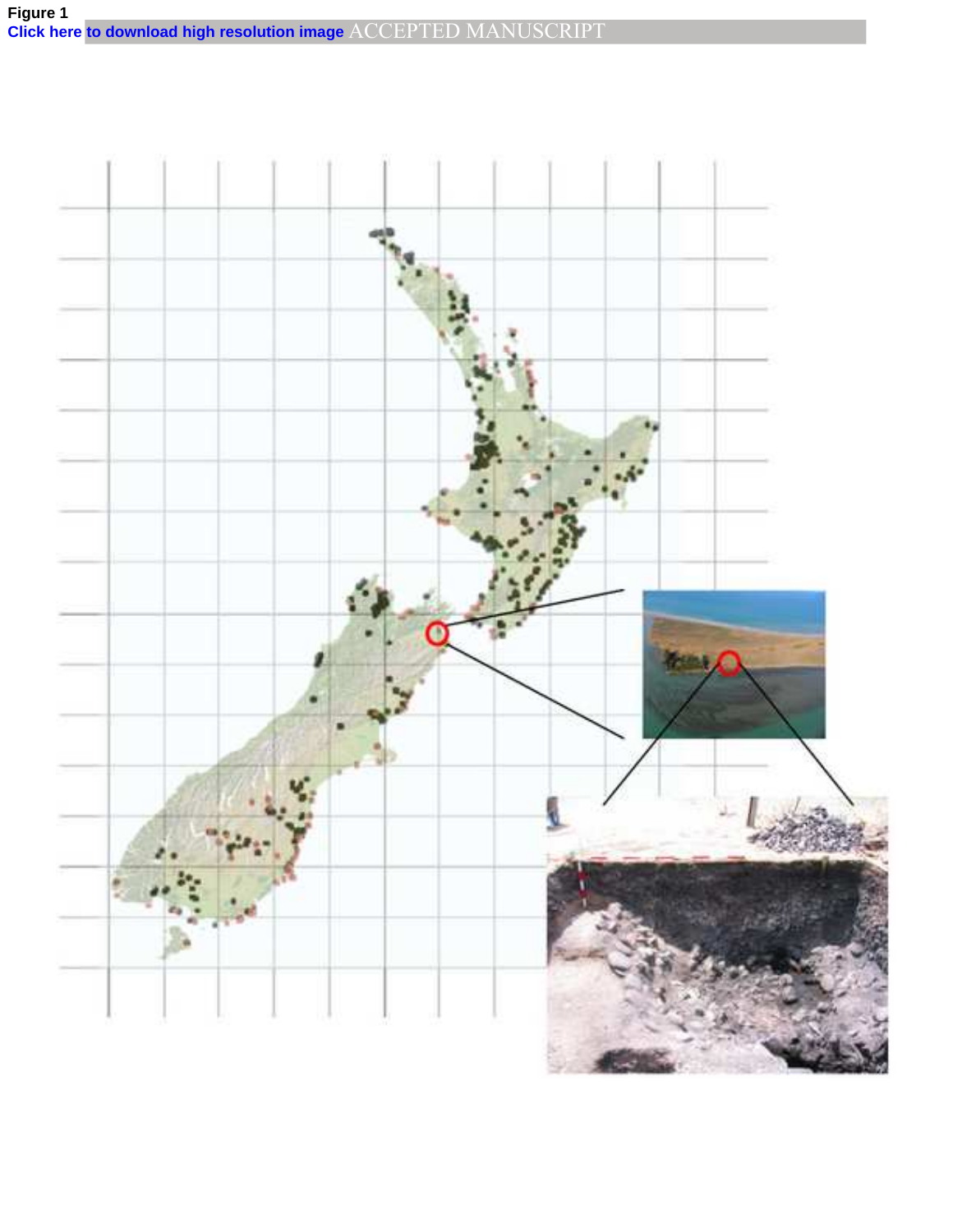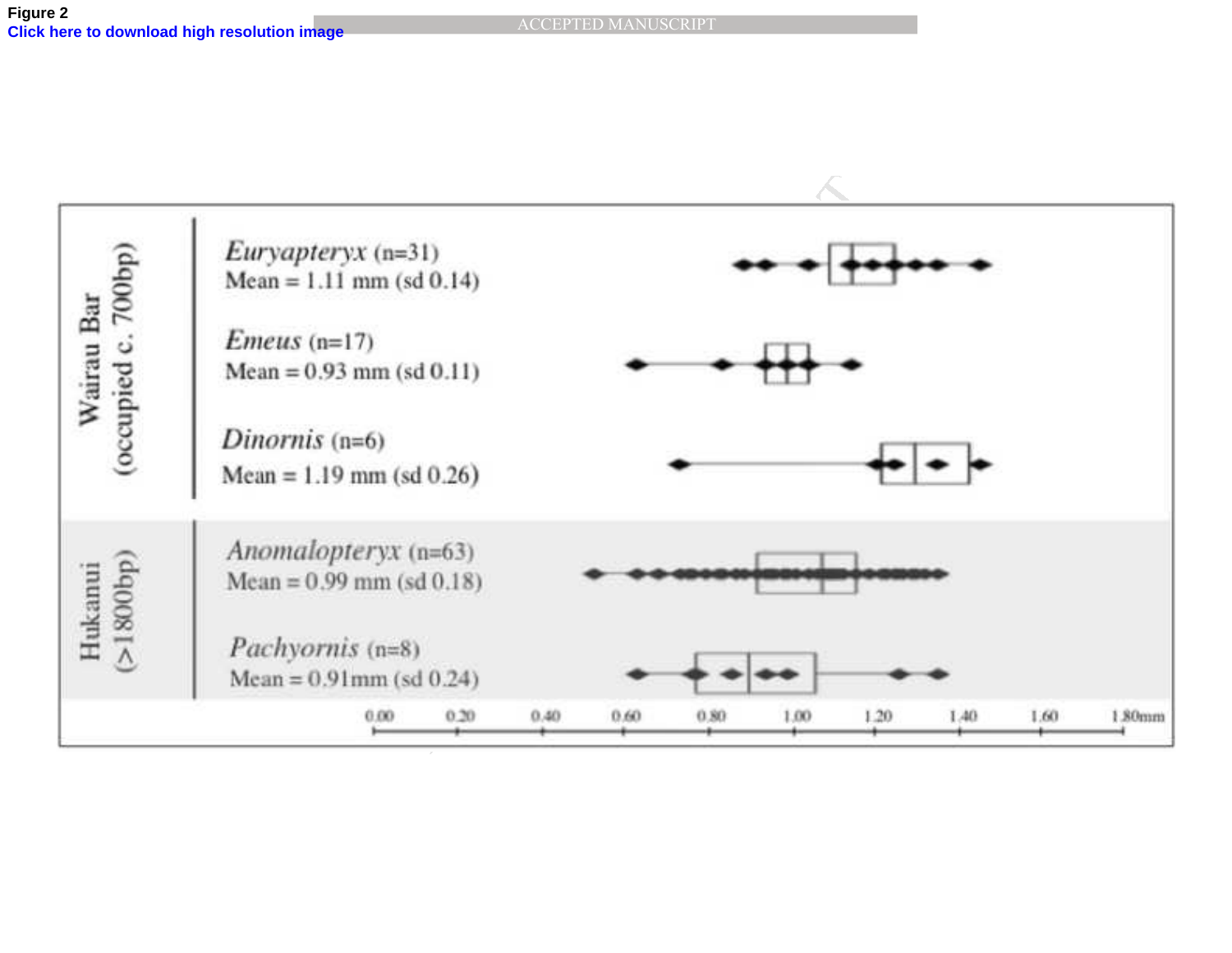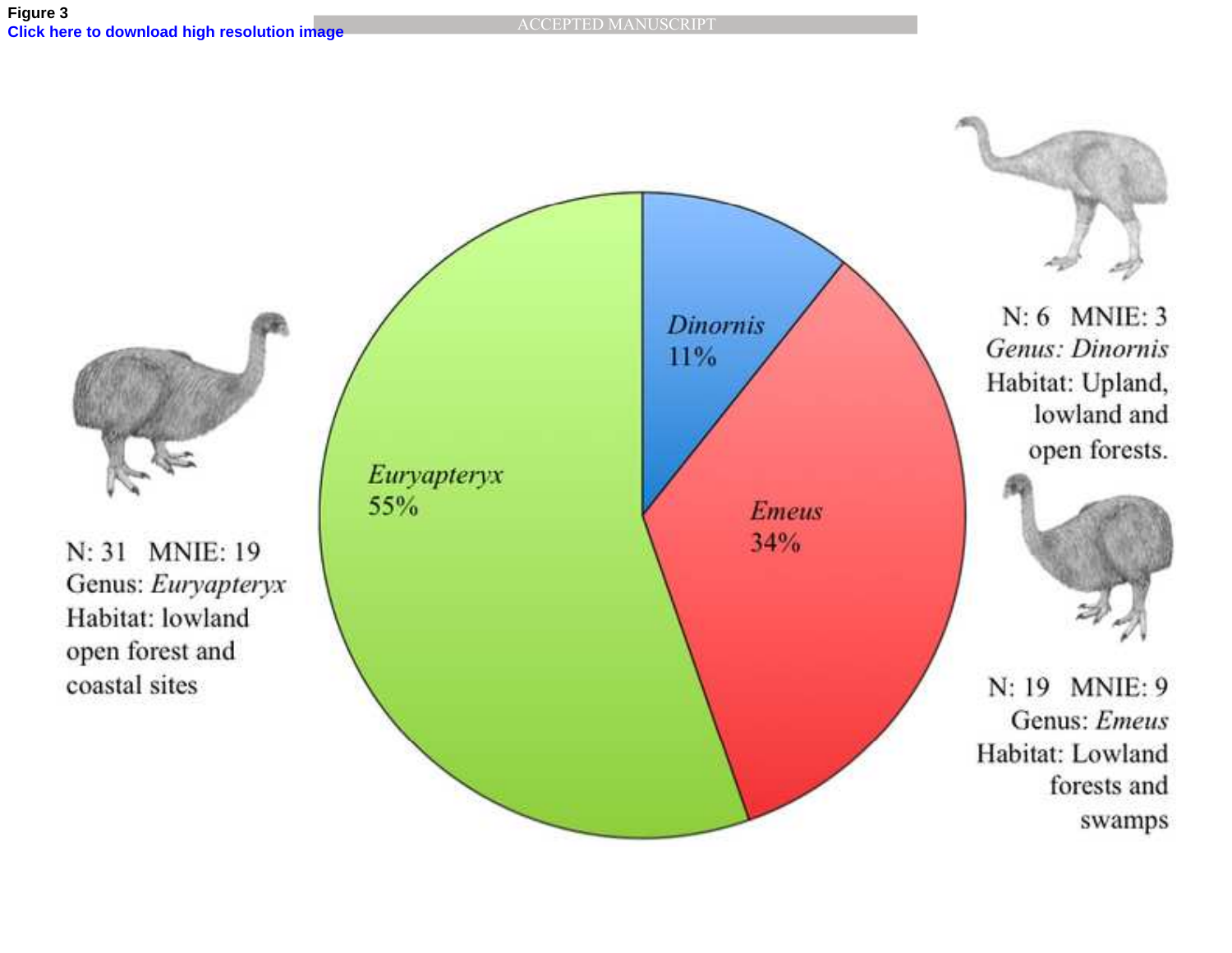